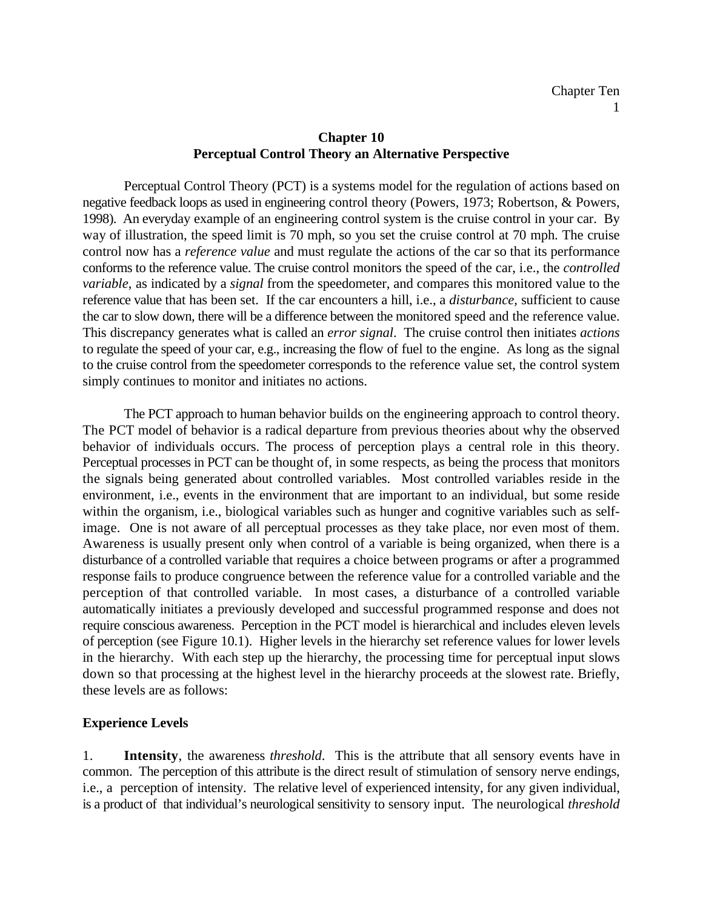## **Chapter 10 Perceptual Control Theory an Alternative Perspective**

Perceptual Control Theory (PCT) is a systems model for the regulation of actions based on negative feedback loops as used in engineering control theory (Powers, 1973; Robertson, & Powers, 1998). An everyday example of an engineering control system is the cruise control in your car. By way of illustration, the speed limit is 70 mph, so you set the cruise control at 70 mph. The cruise control now has a *reference value* and must regulate the actions of the car so that its performance conforms to the reference value. The cruise control monitors the speed of the car, i.e., the *controlled variable*, as indicated by a *signal* from the speedometer, and compares this monitored value to the reference value that has been set. If the car encounters a hill, i.e., a *disturbance,* sufficient to cause the car to slow down, there will be a difference between the monitored speed and the reference value. This discrepancy generates what is called an *error signal*. The cruise control then initiates *actions* to regulate the speed of your car, e.g., increasing the flow of fuel to the engine. As long as the signal to the cruise control from the speedometer corresponds to the reference value set, the control system simply continues to monitor and initiates no actions.

The PCT approach to human behavior builds on the engineering approach to control theory. The PCT model of behavior is a radical departure from previous theories about why the observed behavior of individuals occurs. The process of perception plays a central role in this theory. Perceptual processes in PCT can be thought of, in some respects, as being the process that monitors the signals being generated about controlled variables. Most controlled variables reside in the environment, i.e., events in the environment that are important to an individual, but some reside within the organism, i.e., biological variables such as hunger and cognitive variables such as selfimage. One is not aware of all perceptual processes as they take place, nor even most of them. Awareness is usually present only when control of a variable is being organized, when there is a disturbance of a controlled variable that requires a choice between programs or after a programmed response fails to produce congruence between the reference value for a controlled variable and the perception of that controlled variable. In most cases, a disturbance of a controlled variable automatically initiates a previously developed and successful programmed response and does not require conscious awareness. Perception in the PCT model is hierarchical and includes eleven levels of perception (see Figure 10.1). Higher levels in the hierarchy set reference values for lower levels in the hierarchy. With each step up the hierarchy, the processing time for perceptual input slows down so that processing at the highest level in the hierarchy proceeds at the slowest rate. Briefly, these levels are as follows:

# **Experience Levels**

1. **Intensity**, the awareness *threshold*. This is the attribute that all sensory events have in common. The perception of this attribute is the direct result of stimulation of sensory nerve endings, i.e., a perception of intensity. The relative level of experienced intensity, for any given individual, is a product of that individual's neurological sensitivity to sensory input. The neurological *threshold*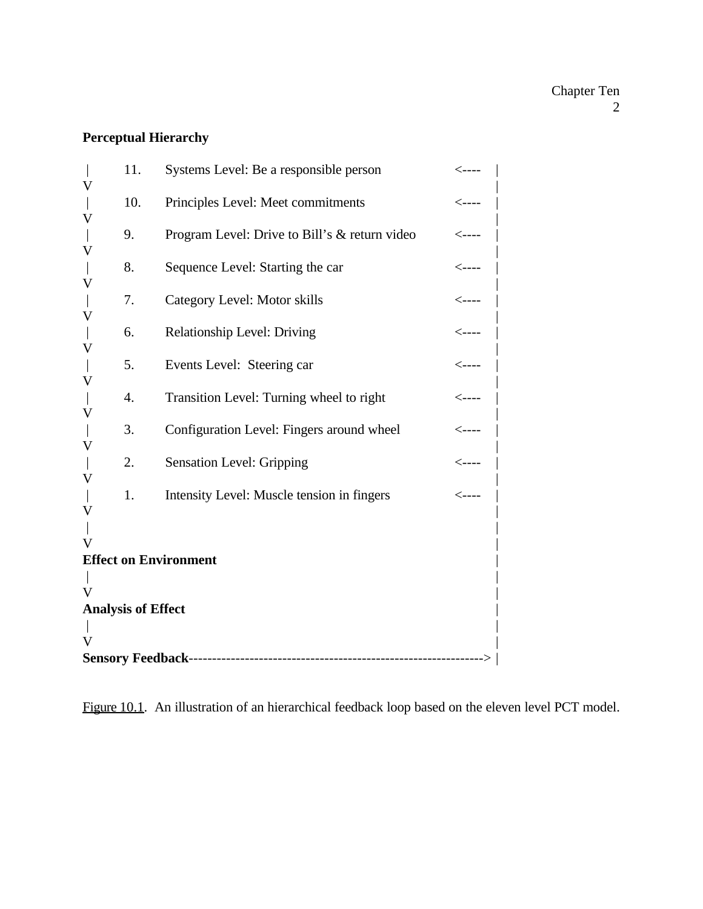# **Perceptual Hierarchy**

| V                                 | 11. | Systems Level: Be a responsible person        | $\leftarrow$ ----       |
|-----------------------------------|-----|-----------------------------------------------|-------------------------|
| V                                 | 10. | Principles Level: Meet commitments            | $\leftarrow$ ----       |
|                                   | 9.  | Program Level: Drive to Bill's & return video | $\leftarrow$ ----       |
| V                                 | 8.  | Sequence Level: Starting the car              | $\leftarrow$ ----       |
| V                                 | 7.  | Category Level: Motor skills                  | $\leftarrow$ ----       |
| V                                 | 6.  | <b>Relationship Level: Driving</b>            | $\leftarrow$ ----       |
| V                                 | 5.  | Events Level: Steering car                    | $\leftarrow$ ----       |
| V                                 | 4.  | Transition Level: Turning wheel to right      | $\leftarrow$ ----       |
| V                                 | 3.  | Configuration Level: Fingers around wheel     | $<\!\!-\!\!-\!\!-\!\!-$ |
| V                                 | 2.  | <b>Sensation Level: Gripping</b>              | $\leftarrow$ ----       |
| V                                 | 1.  | Intensity Level: Muscle tension in fingers    | $\leftarrow$ ----       |
| V                                 |     |                                               |                         |
| V<br><b>Effect on Environment</b> |     |                                               |                         |
|                                   |     |                                               |                         |
|                                   |     |                                               |                         |
| <b>Analysis of Effect</b>         |     |                                               |                         |
|                                   |     |                                               |                         |
|                                   |     |                                               |                         |
|                                   |     |                                               |                         |

Figure 10.1. An illustration of an hierarchical feedback loop based on the eleven level PCT model.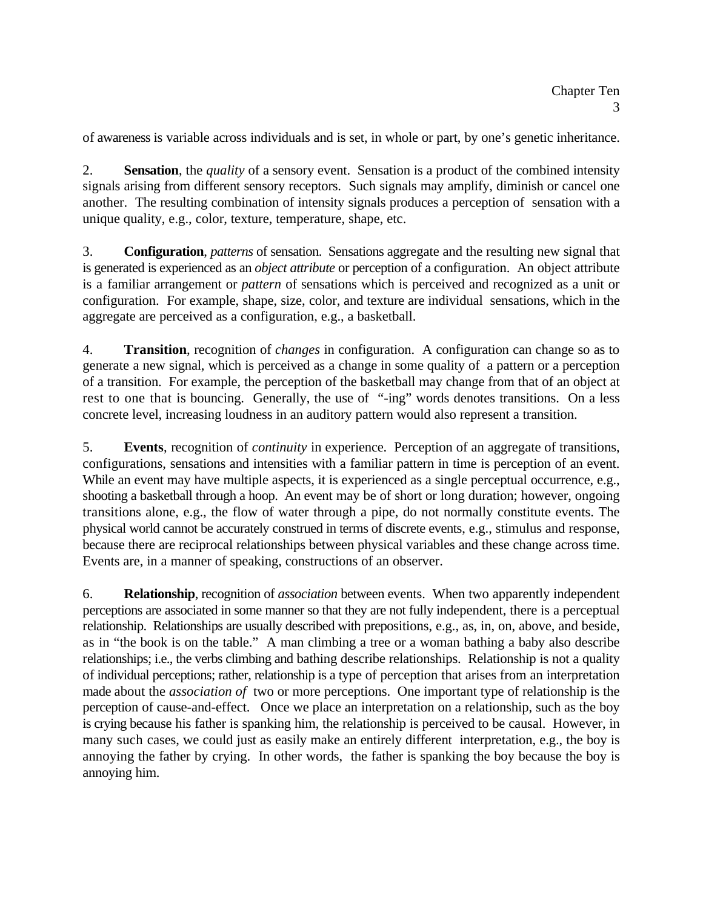of awareness is variable across individuals and is set, in whole or part, by one's genetic inheritance.

2. **Sensation**, the *quality* of a sensory event. Sensation is a product of the combined intensity signals arising from different sensory receptors. Such signals may amplify, diminish or cancel one another. The resulting combination of intensity signals produces a perception of sensation with a unique quality, e.g., color, texture, temperature, shape, etc.

3. **Configuration**, *patterns* of sensation. Sensations aggregate and the resulting new signal that is generated is experienced as an *object attribute* or perception of a configuration. An object attribute is a familiar arrangement or *pattern* of sensations which is perceived and recognized as a unit or configuration. For example, shape, size, color, and texture are individual sensations, which in the aggregate are perceived as a configuration, e.g., a basketball.

4. **Transition**, recognition of *changes* in configuration. A configuration can change so as to generate a new signal, which is perceived as a change in some quality of a pattern or a perception of a transition. For example, the perception of the basketball may change from that of an object at rest to one that is bouncing. Generally, the use of "-ing" words denotes transitions. On a less concrete level, increasing loudness in an auditory pattern would also represent a transition.

5. **Events**, recognition of *continuity* in experience. Perception of an aggregate of transitions, configurations, sensations and intensities with a familiar pattern in time is perception of an event. While an event may have multiple aspects, it is experienced as a single perceptual occurrence, e.g., shooting a basketball through a hoop. An event may be of short or long duration; however, ongoing transitions alone, e.g., the flow of water through a pipe, do not normally constitute events. The physical world cannot be accurately construed in terms of discrete events, e.g., stimulus and response, because there are reciprocal relationships between physical variables and these change across time. Events are, in a manner of speaking, constructions of an observer.

6. **Relationship**, recognition of *association* between events. When two apparently independent perceptions are associated in some manner so that they are not fully independent, there is a perceptual relationship. Relationships are usually described with prepositions, e.g., as, in, on, above, and beside, as in "the book is on the table." A man climbing a tree or a woman bathing a baby also describe relationships; i.e., the verbs climbing and bathing describe relationships. Relationship is not a quality of individual perceptions; rather, relationship is a type of perception that arises from an interpretation made about the *association of* two or more perceptions. One important type of relationship is the perception of cause-and-effect. Once we place an interpretation on a relationship, such as the boy is crying because his father is spanking him, the relationship is perceived to be causal. However, in many such cases, we could just as easily make an entirely different interpretation, e.g., the boy is annoying the father by crying. In other words, the father is spanking the boy because the boy is annoying him.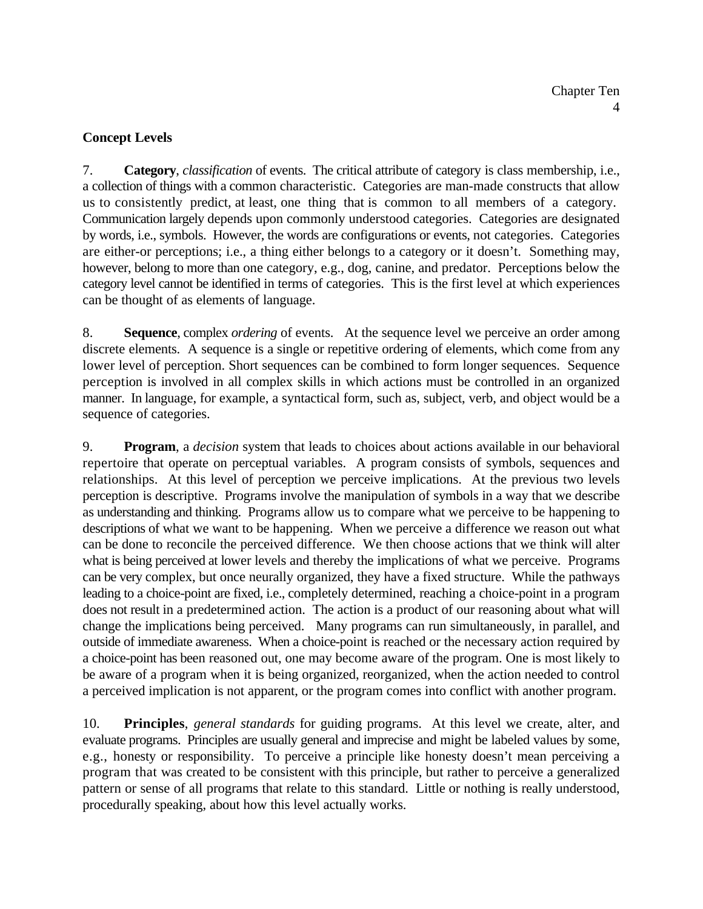# **Concept Levels**

7. **Category**, *classification* of events. The critical attribute of category is class membership, i.e., a collection of things with a common characteristic. Categories are man-made constructs that allow us to consistently predict, at least, one thing that is common to all members of a category. Communication largely depends upon commonly understood categories. Categories are designated by words, i.e., symbols. However, the words are configurations or events, not categories. Categories are either-or perceptions; i.e., a thing either belongs to a category or it doesn't. Something may, however, belong to more than one category, e.g., dog, canine, and predator. Perceptions below the category level cannot be identified in terms of categories. This is the first level at which experiences can be thought of as elements of language.

8. **Sequence**, complex *ordering* of events. At the sequence level we perceive an order among discrete elements. A sequence is a single or repetitive ordering of elements, which come from any lower level of perception. Short sequences can be combined to form longer sequences. Sequence perception is involved in all complex skills in which actions must be controlled in an organized manner. In language, for example, a syntactical form, such as, subject, verb, and object would be a sequence of categories.

9. **Program**, a *decision* system that leads to choices about actions available in our behavioral repertoire that operate on perceptual variables. A program consists of symbols, sequences and relationships. At this level of perception we perceive implications. At the previous two levels perception is descriptive. Programs involve the manipulation of symbols in a way that we describe as understanding and thinking. Programs allow us to compare what we perceive to be happening to descriptions of what we want to be happening. When we perceive a difference we reason out what can be done to reconcile the perceived difference. We then choose actions that we think will alter what is being perceived at lower levels and thereby the implications of what we perceive. Programs can be very complex, but once neurally organized, they have a fixed structure. While the pathways leading to a choice-point are fixed, i.e., completely determined, reaching a choice-point in a program does not result in a predetermined action. The action is a product of our reasoning about what will change the implications being perceived. Many programs can run simultaneously, in parallel, and outside of immediate awareness. When a choice-point is reached or the necessary action required by a choice-point has been reasoned out, one may become aware of the program. One is most likely to be aware of a program when it is being organized, reorganized, when the action needed to control a perceived implication is not apparent, or the program comes into conflict with another program.

10. **Principles**, *general standards* for guiding programs. At this level we create, alter, and evaluate programs. Principles are usually general and imprecise and might be labeled values by some, e.g., honesty or responsibility. To perceive a principle like honesty doesn't mean perceiving a program that was created to be consistent with this principle, but rather to perceive a generalized pattern or sense of all programs that relate to this standard. Little or nothing is really understood, procedurally speaking, about how this level actually works.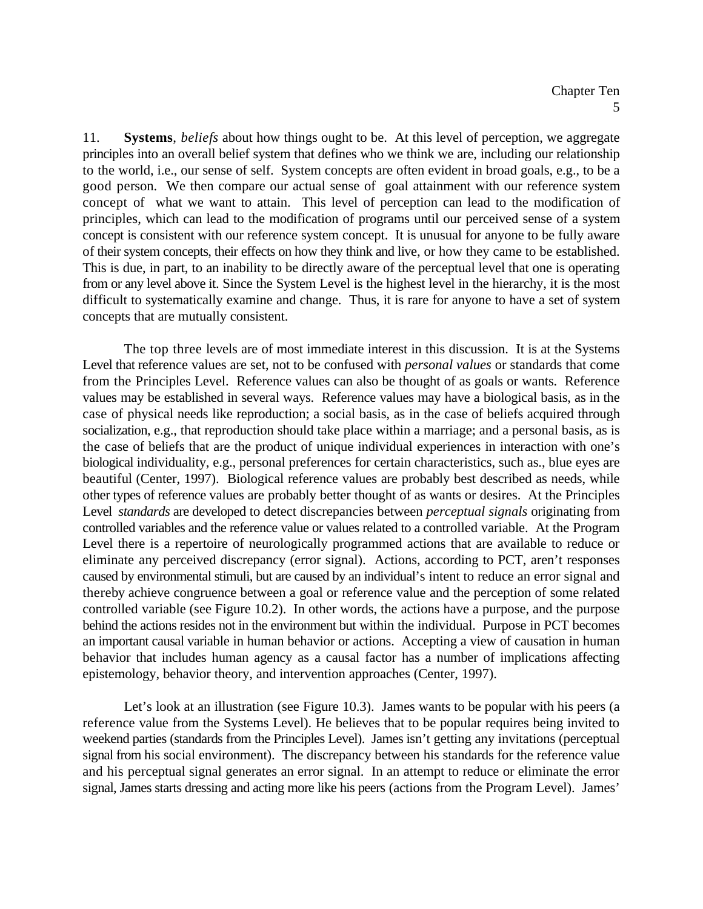11. **Systems**, *beliefs* about how things ought to be. At this level of perception, we aggregate principles into an overall belief system that defines who we think we are, including our relationship to the world, i.e., our sense of self. System concepts are often evident in broad goals, e.g., to be a good person. We then compare our actual sense of goal attainment with our reference system concept of what we want to attain. This level of perception can lead to the modification of principles, which can lead to the modification of programs until our perceived sense of a system concept is consistent with our reference system concept. It is unusual for anyone to be fully aware of their system concepts, their effects on how they think and live, or how they came to be established. This is due, in part, to an inability to be directly aware of the perceptual level that one is operating from or any level above it. Since the System Level is the highest level in the hierarchy, it is the most difficult to systematically examine and change. Thus, it is rare for anyone to have a set of system concepts that are mutually consistent.

The top three levels are of most immediate interest in this discussion. It is at the Systems Level that reference values are set, not to be confused with *personal values* or standards that come from the Principles Level. Reference values can also be thought of as goals or wants. Reference values may be established in several ways. Reference values may have a biological basis, as in the case of physical needs like reproduction; a social basis, as in the case of beliefs acquired through socialization, e.g., that reproduction should take place within a marriage; and a personal basis, as is the case of beliefs that are the product of unique individual experiences in interaction with one's biological individuality, e.g., personal preferences for certain characteristics, such as., blue eyes are beautiful (Center, 1997). Biological reference values are probably best described as needs, while other types of reference values are probably better thought of as wants or desires. At the Principles Level *standards* are developed to detect discrepancies between *perceptual signals* originating from controlled variables and the reference value or values related to a controlled variable. At the Program Level there is a repertoire of neurologically programmed actions that are available to reduce or eliminate any perceived discrepancy (error signal). Actions, according to PCT, aren't responses caused by environmental stimuli, but are caused by an individual's intent to reduce an error signal and thereby achieve congruence between a goal or reference value and the perception of some related controlled variable (see Figure 10.2). In other words, the actions have a purpose, and the purpose behind the actions resides not in the environment but within the individual. Purpose in PCT becomes an important causal variable in human behavior or actions. Accepting a view of causation in human behavior that includes human agency as a causal factor has a number of implications affecting epistemology, behavior theory, and intervention approaches (Center, 1997).

Let's look at an illustration (see Figure 10.3). James wants to be popular with his peers (a reference value from the Systems Level). He believes that to be popular requires being invited to weekend parties (standards from the Principles Level). James isn't getting any invitations (perceptual signal from his social environment). The discrepancy between his standards for the reference value and his perceptual signal generates an error signal. In an attempt to reduce or eliminate the error signal, James starts dressing and acting more like his peers (actions from the Program Level). James'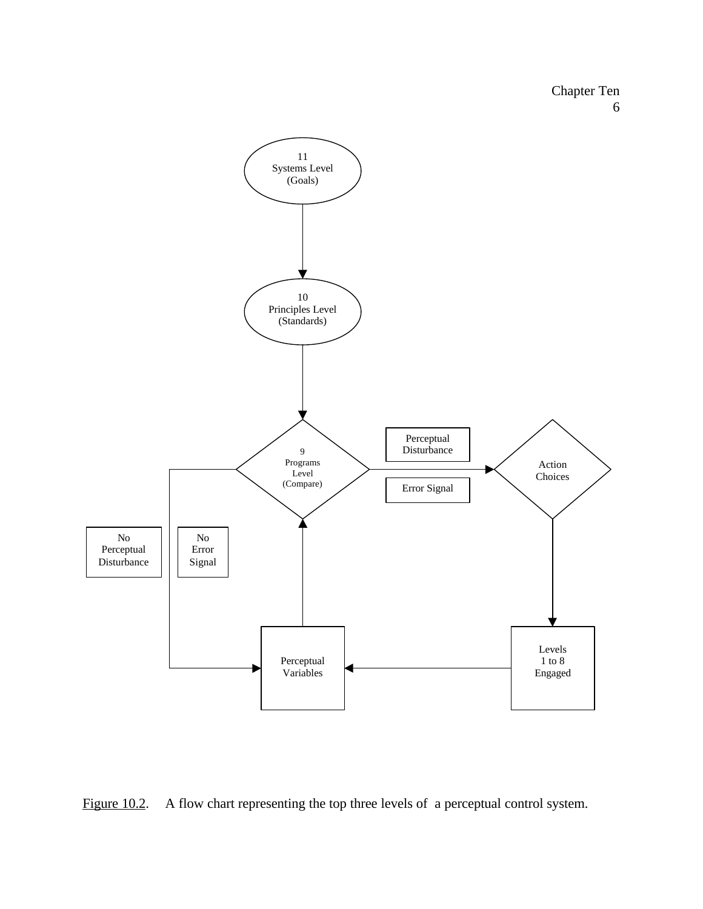

![](_page_5_Figure_2.jpeg)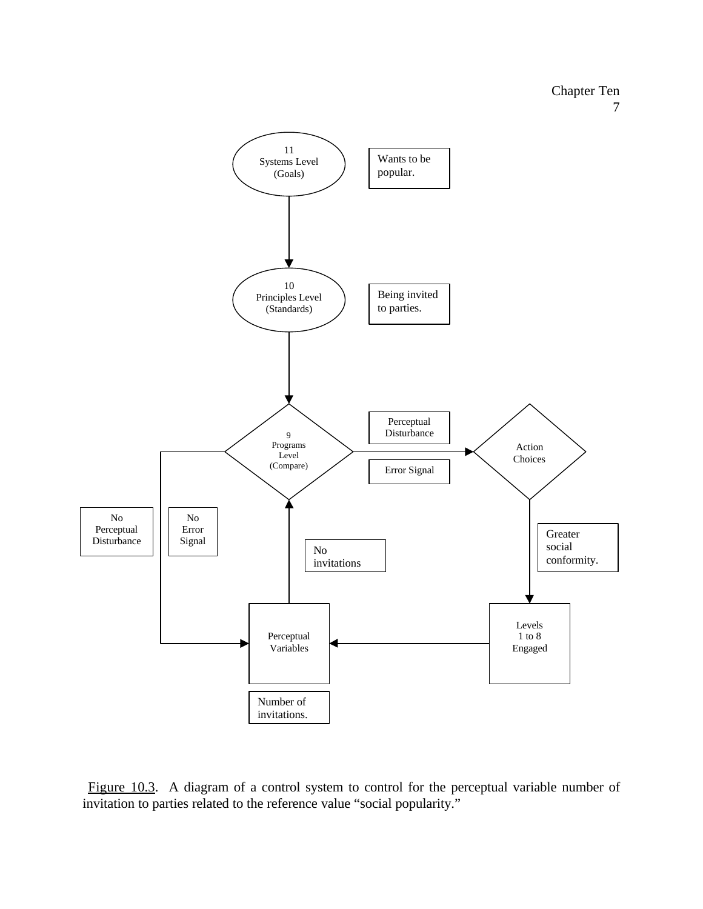![](_page_6_Figure_1.jpeg)

Figure 10.3. A diagram of a control system to control for the perceptual variable number of invitation to parties related to the reference value "social popularity."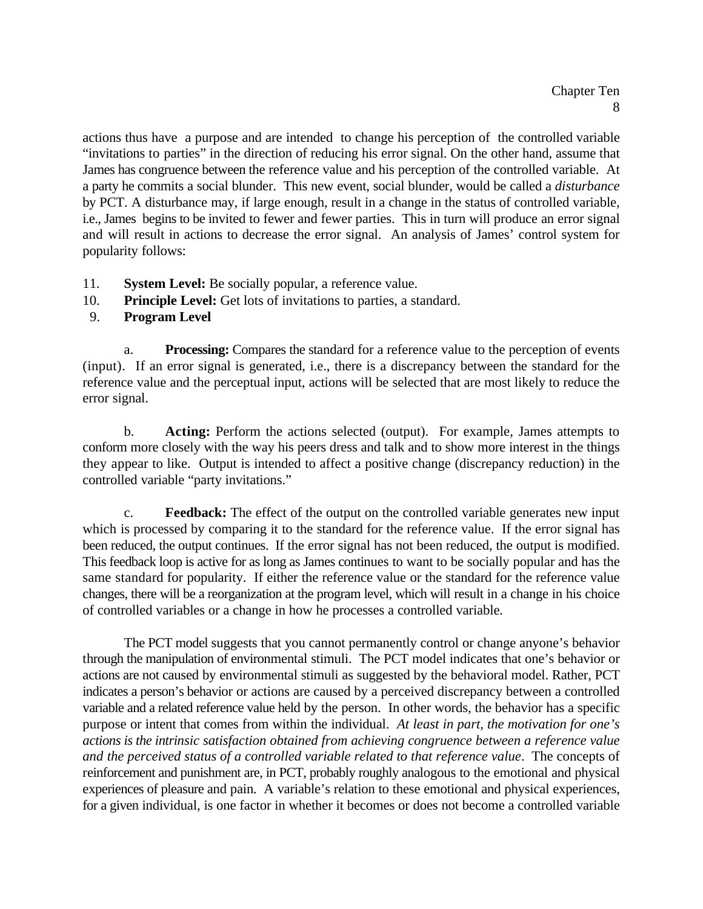actions thus have a purpose and are intended to change his perception of the controlled variable "invitations to parties" in the direction of reducing his error signal. On the other hand, assume that James has congruence between the reference value and his perception of the controlled variable. At a party he commits a social blunder. This new event, social blunder, would be called a *disturbance* by PCT. A disturbance may, if large enough, result in a change in the status of controlled variable, i.e., James begins to be invited to fewer and fewer parties. This in turn will produce an error signal and will result in actions to decrease the error signal. An analysis of James' control system for popularity follows:

- 11. **System Level:** Be socially popular, a reference value.
- 10. **Principle Level:** Get lots of invitations to parties, a standard.

# 9. **Program Level**

a. **Processing:** Compares the standard for a reference value to the perception of events (input). If an error signal is generated, i.e., there is a discrepancy between the standard for the reference value and the perceptual input, actions will be selected that are most likely to reduce the error signal.

b. **Acting:** Perform the actions selected (output). For example, James attempts to conform more closely with the way his peers dress and talk and to show more interest in the things they appear to like. Output is intended to affect a positive change (discrepancy reduction) in the controlled variable "party invitations."

c. **Feedback:** The effect of the output on the controlled variable generates new input which is processed by comparing it to the standard for the reference value. If the error signal has been reduced, the output continues. If the error signal has not been reduced, the output is modified. This feedback loop is active for as long as James continues to want to be socially popular and has the same standard for popularity. If either the reference value or the standard for the reference value changes, there will be a reorganization at the program level, which will result in a change in his choice of controlled variables or a change in how he processes a controlled variable.

The PCT model suggests that you cannot permanently control or change anyone's behavior through the manipulation of environmental stimuli. The PCT model indicates that one's behavior or actions are not caused by environmental stimuli as suggested by the behavioral model. Rather, PCT indicates a person's behavior or actions are caused by a perceived discrepancy between a controlled variable and a related reference value held by the person. In other words, the behavior has a specific purpose or intent that comes from within the individual. *At least in part, the motivation for one's actions is the intrinsic satisfaction obtained from achieving congruence between a reference value and the perceived status of a controlled variable related to that reference value*. The concepts of reinforcement and punishment are, in PCT, probably roughly analogous to the emotional and physical experiences of pleasure and pain. A variable's relation to these emotional and physical experiences, for a given individual, is one factor in whether it becomes or does not become a controlled variable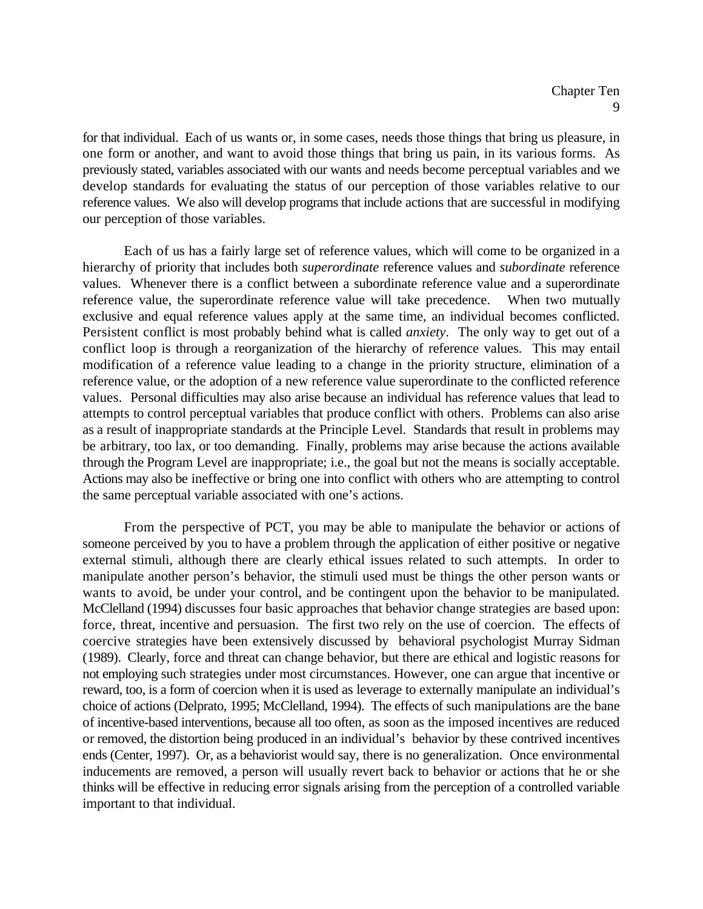for that individual. Each of us wants or, in some cases, needs those things that bring us pleasure, in one form or another, and want to avoid those things that bring us pain, in its various forms. As previously stated, variables associated with our wants and needs become perceptual variables and we develop standards for evaluating the status of our perception of those variables relative to our reference values. We also will develop programs that include actions that are successful in modifying our perception of those variables.

Each of us has a fairly large set of reference values, which will come to be organized in a hierarchy of priority that includes both *superordinate* reference values and *subordinate* reference values. Whenever there is a conflict between a subordinate reference value and a superordinate reference value, the superordinate reference value will take precedence. When two mutually exclusive and equal reference values apply at the same time, an individual becomes conflicted. Persistent conflict is most probably behind what is called *anxiety*. The only way to get out of a conflict loop is through a reorganization of the hierarchy of reference values. This may entail modification of a reference value leading to a change in the priority structure, elimination of a reference value, or the adoption of a new reference value superordinate to the conflicted reference values. Personal difficulties may also arise because an individual has reference values that lead to attempts to control perceptual variables that produce conflict with others. Problems can also arise as a result of inappropriate standards at the Principle Level. Standards that result in problems may be arbitrary, too lax, or too demanding. Finally, problems may arise because the actions available through the Program Level are inappropriate; i.e., the goal but not the means is socially acceptable. Actions may also be ineffective or bring one into conflict with others who are attempting to control the same perceptual variable associated with one's actions.

From the perspective of PCT, you may be able to manipulate the behavior or actions of someone perceived by you to have a problem through the application of either positive or negative external stimuli, although there are clearly ethical issues related to such attempts. In order to manipulate another person's behavior, the stimuli used must be things the other person wants or wants to avoid, be under your control, and be contingent upon the behavior to be manipulated. McClelland (1994) discusses four basic approaches that behavior change strategies are based upon: force, threat, incentive and persuasion. The first two rely on the use of coercion. The effects of coercive strategies have been extensively discussed by behavioral psychologist Murray Sidman (1989). Clearly, force and threat can change behavior, but there are ethical and logistic reasons for not employing such strategies under most circumstances. However, one can argue that incentive or reward, too, is a form of coercion when it is used as leverage to externally manipulate an individual's choice of actions (Delprato, 1995; McClelland, 1994). The effects of such manipulations are the bane of incentive-based interventions, because all too often, as soon as the imposed incentives are reduced or removed, the distortion being produced in an individual's behavior by these contrived incentives ends (Center, 1997). Or, as a behaviorist would say, there is no generalization. Once environmental inducements are removed, a person will usually revert back to behavior or actions that he or she thinks will be effective in reducing error signals arising from the perception of a controlled variable important to that individual.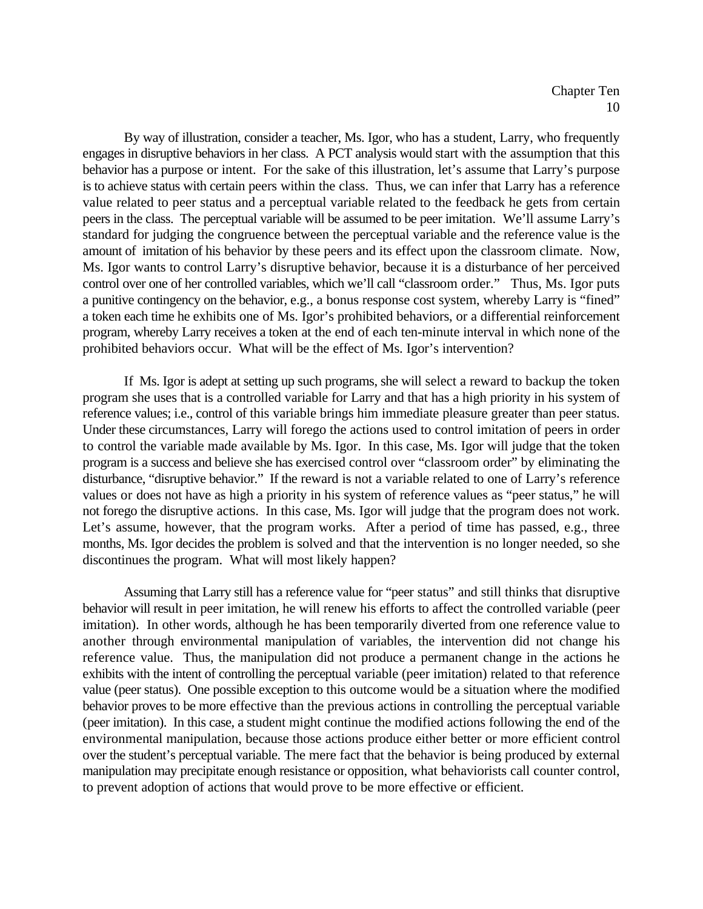By way of illustration, consider a teacher, Ms. Igor, who has a student, Larry, who frequently engages in disruptive behaviors in her class. A PCT analysis would start with the assumption that this behavior has a purpose or intent. For the sake of this illustration, let's assume that Larry's purpose is to achieve status with certain peers within the class. Thus, we can infer that Larry has a reference value related to peer status and a perceptual variable related to the feedback he gets from certain peers in the class. The perceptual variable will be assumed to be peer imitation. We'll assume Larry's standard for judging the congruence between the perceptual variable and the reference value is the amount of imitation of his behavior by these peers and its effect upon the classroom climate. Now, Ms. Igor wants to control Larry's disruptive behavior, because it is a disturbance of her perceived control over one of her controlled variables, which we'll call "classroom order." Thus, Ms. Igor puts a punitive contingency on the behavior, e.g., a bonus response cost system, whereby Larry is "fined" a token each time he exhibits one of Ms. Igor's prohibited behaviors, or a differential reinforcement program, whereby Larry receives a token at the end of each ten-minute interval in which none of the prohibited behaviors occur. What will be the effect of Ms. Igor's intervention?

If Ms. Igor is adept at setting up such programs, she will select a reward to backup the token program she uses that is a controlled variable for Larry and that has a high priority in his system of reference values; i.e., control of this variable brings him immediate pleasure greater than peer status. Under these circumstances, Larry will forego the actions used to control imitation of peers in order to control the variable made available by Ms. Igor. In this case, Ms. Igor will judge that the token program is a success and believe she has exercised control over "classroom order" by eliminating the disturbance, "disruptive behavior." If the reward is not a variable related to one of Larry's reference values or does not have as high a priority in his system of reference values as "peer status," he will not forego the disruptive actions. In this case, Ms. Igor will judge that the program does not work. Let's assume, however, that the program works. After a period of time has passed, e.g., three months, Ms. Igor decides the problem is solved and that the intervention is no longer needed, so she discontinues the program. What will most likely happen?

Assuming that Larry still has a reference value for "peer status" and still thinks that disruptive behavior will result in peer imitation, he will renew his efforts to affect the controlled variable (peer imitation). In other words, although he has been temporarily diverted from one reference value to another through environmental manipulation of variables, the intervention did not change his reference value. Thus, the manipulation did not produce a permanent change in the actions he exhibits with the intent of controlling the perceptual variable (peer imitation) related to that reference value (peer status). One possible exception to this outcome would be a situation where the modified behavior proves to be more effective than the previous actions in controlling the perceptual variable (peer imitation). In this case, a student might continue the modified actions following the end of the environmental manipulation, because those actions produce either better or more efficient control over the student's perceptual variable. The mere fact that the behavior is being produced by external manipulation may precipitate enough resistance or opposition, what behaviorists call counter control, to prevent adoption of actions that would prove to be more effective or efficient.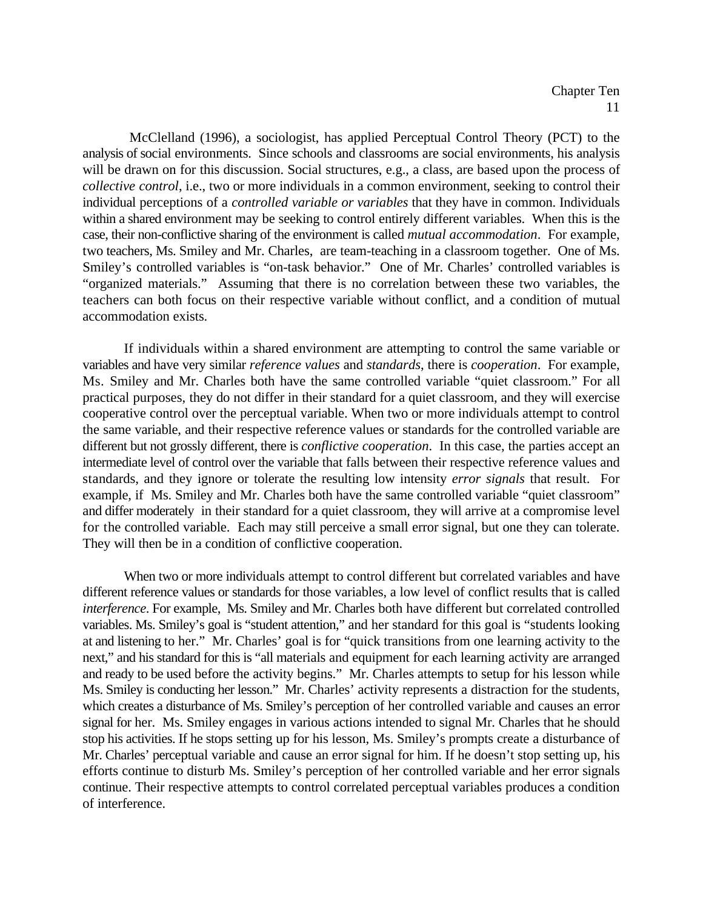McClelland (1996), a sociologist, has applied Perceptual Control Theory (PCT) to the analysis of social environments. Since schools and classrooms are social environments, his analysis will be drawn on for this discussion. Social structures, e.g., a class, are based upon the process of *collective control*, i.e., two or more individuals in a common environment, seeking to control their individual perceptions of a *controlled variable or variables* that they have in common. Individuals within a shared environment may be seeking to control entirely different variables. When this is the case, their non-conflictive sharing of the environment is called *mutual accommodation*. For example, two teachers, Ms. Smiley and Mr. Charles, are team-teaching in a classroom together. One of Ms. Smiley's controlled variables is "on-task behavior." One of Mr. Charles' controlled variables is "organized materials." Assuming that there is no correlation between these two variables, the teachers can both focus on their respective variable without conflict, and a condition of mutual accommodation exists.

If individuals within a shared environment are attempting to control the same variable or variables and have very similar *reference values* and *standards*, there is *cooperation*. For example, Ms. Smiley and Mr. Charles both have the same controlled variable "quiet classroom." For all practical purposes, they do not differ in their standard for a quiet classroom, and they will exercise cooperative control over the perceptual variable. When two or more individuals attempt to control the same variable, and their respective reference values or standards for the controlled variable are different but not grossly different, there is *conflictive cooperation*. In this case, the parties accept an intermediate level of control over the variable that falls between their respective reference values and standards, and they ignore or tolerate the resulting low intensity *error signals* that result. For example, if Ms. Smiley and Mr. Charles both have the same controlled variable "quiet classroom" and differ moderately in their standard for a quiet classroom, they will arrive at a compromise level for the controlled variable. Each may still perceive a small error signal, but one they can tolerate. They will then be in a condition of conflictive cooperation.

When two or more individuals attempt to control different but correlated variables and have different reference values or standards for those variables, a low level of conflict results that is called *interference*. For example, Ms. Smiley and Mr. Charles both have different but correlated controlled variables. Ms. Smiley's goal is "student attention," and her standard for this goal is "students looking at and listening to her." Mr. Charles' goal is for "quick transitions from one learning activity to the next," and his standard for this is "all materials and equipment for each learning activity are arranged and ready to be used before the activity begins." Mr. Charles attempts to setup for his lesson while Ms. Smiley is conducting her lesson." Mr. Charles' activity represents a distraction for the students, which creates a disturbance of Ms. Smiley's perception of her controlled variable and causes an error signal for her. Ms. Smiley engages in various actions intended to signal Mr. Charles that he should stop his activities. If he stops setting up for his lesson, Ms. Smiley's prompts create a disturbance of Mr. Charles' perceptual variable and cause an error signal for him. If he doesn't stop setting up, his efforts continue to disturb Ms. Smiley's perception of her controlled variable and her error signals continue. Their respective attempts to control correlated perceptual variables produces a condition of interference.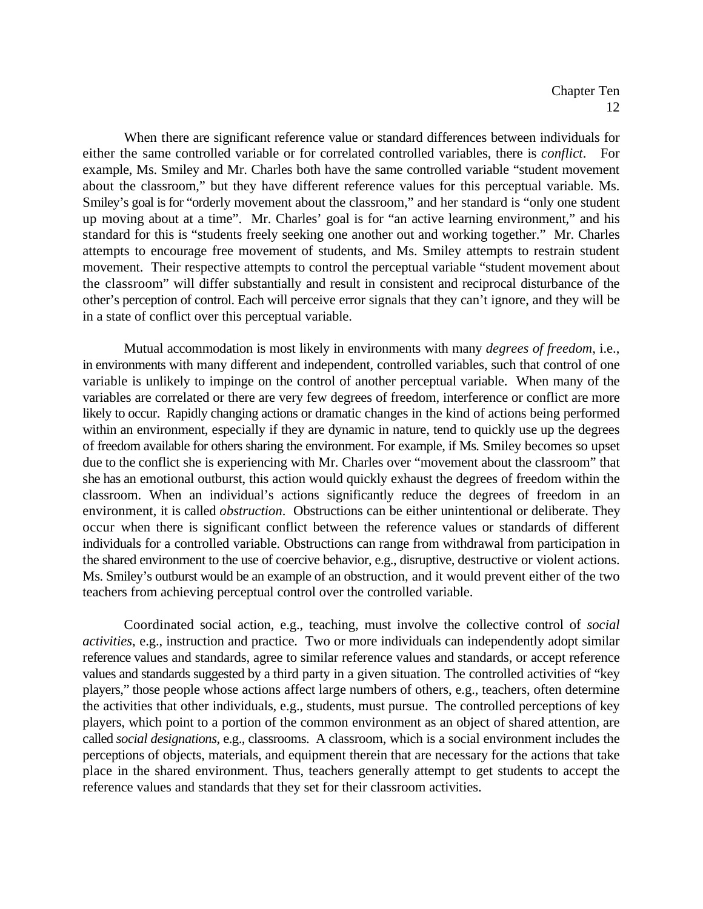When there are significant reference value or standard differences between individuals for either the same controlled variable or for correlated controlled variables, there is *conflict*. For example, Ms. Smiley and Mr. Charles both have the same controlled variable "student movement about the classroom," but they have different reference values for this perceptual variable. Ms. Smiley's goal is for "orderly movement about the classroom," and her standard is "only one student up moving about at a time". Mr. Charles' goal is for "an active learning environment," and his standard for this is "students freely seeking one another out and working together." Mr. Charles attempts to encourage free movement of students, and Ms. Smiley attempts to restrain student movement. Their respective attempts to control the perceptual variable "student movement about the classroom" will differ substantially and result in consistent and reciprocal disturbance of the other's perception of control. Each will perceive error signals that they can't ignore, and they will be in a state of conflict over this perceptual variable.

Mutual accommodation is most likely in environments with many *degrees of freedom*, i.e., in environments with many different and independent, controlled variables, such that control of one variable is unlikely to impinge on the control of another perceptual variable. When many of the variables are correlated or there are very few degrees of freedom, interference or conflict are more likely to occur. Rapidly changing actions or dramatic changes in the kind of actions being performed within an environment, especially if they are dynamic in nature, tend to quickly use up the degrees of freedom available for others sharing the environment. For example, if Ms. Smiley becomes so upset due to the conflict she is experiencing with Mr. Charles over "movement about the classroom" that she has an emotional outburst, this action would quickly exhaust the degrees of freedom within the classroom. When an individual's actions significantly reduce the degrees of freedom in an environment, it is called *obstruction*. Obstructions can be either unintentional or deliberate. They occur when there is significant conflict between the reference values or standards of different individuals for a controlled variable. Obstructions can range from withdrawal from participation in the shared environment to the use of coercive behavior, e.g., disruptive, destructive or violent actions. Ms. Smiley's outburst would be an example of an obstruction, and it would prevent either of the two teachers from achieving perceptual control over the controlled variable.

Coordinated social action, e.g., teaching, must involve the collective control of *social activities*, e.g., instruction and practice. Two or more individuals can independently adopt similar reference values and standards, agree to similar reference values and standards, or accept reference values and standards suggested by a third party in a given situation. The controlled activities of "key players," those people whose actions affect large numbers of others, e.g., teachers, often determine the activities that other individuals, e.g., students, must pursue. The controlled perceptions of key players, which point to a portion of the common environment as an object of shared attention, are called *social designations*, e.g., classrooms. A classroom, which is a social environment includes the perceptions of objects, materials, and equipment therein that are necessary for the actions that take place in the shared environment. Thus, teachers generally attempt to get students to accept the reference values and standards that they set for their classroom activities.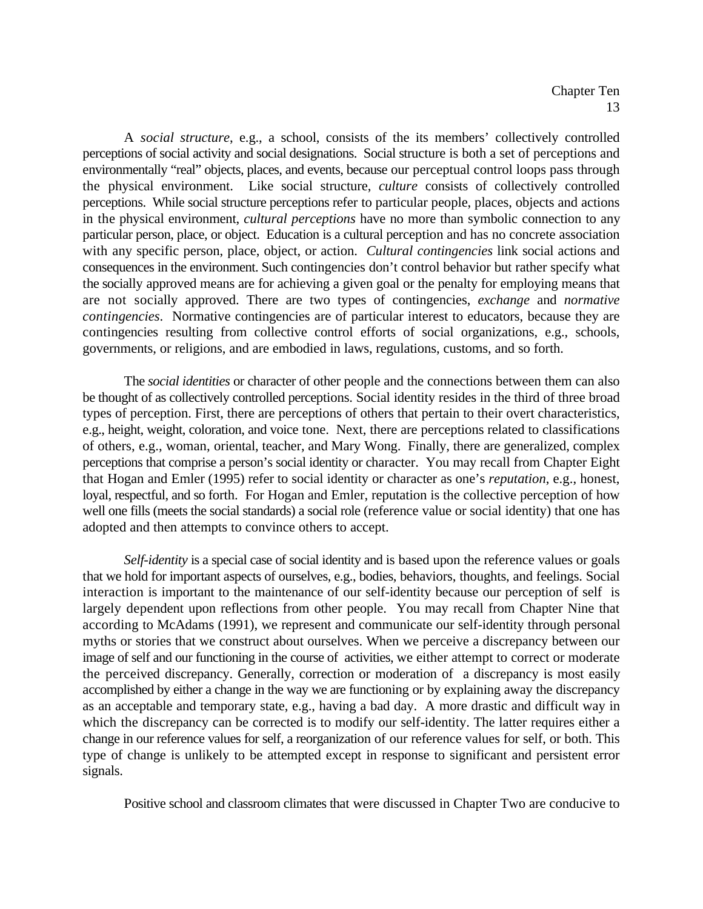A *social structure*, e.g., a school, consists of the its members' collectively controlled perceptions of social activity and social designations. Social structure is both a set of perceptions and environmentally "real" objects, places, and events, because our perceptual control loops pass through the physical environment. Like social structure, *culture* consists of collectively controlled perceptions. While social structure perceptions refer to particular people, places, objects and actions in the physical environment, *cultural perceptions* have no more than symbolic connection to any particular person, place, or object. Education is a cultural perception and has no concrete association with any specific person, place, object, or action. *Cultural contingencies* link social actions and consequences in the environment. Such contingencies don't control behavior but rather specify what the socially approved means are for achieving a given goal or the penalty for employing means that are not socially approved. There are two types of contingencies, *exchange* and *normative contingencies*. Normative contingencies are of particular interest to educators, because they are contingencies resulting from collective control efforts of social organizations, e.g., schools, governments, or religions, and are embodied in laws, regulations, customs, and so forth.

The *social identities* or character of other people and the connections between them can also be thought of as collectively controlled perceptions. Social identity resides in the third of three broad types of perception. First, there are perceptions of others that pertain to their overt characteristics, e.g., height, weight, coloration, and voice tone. Next, there are perceptions related to classifications of others, e.g., woman, oriental, teacher, and Mary Wong. Finally, there are generalized, complex perceptions that comprise a person's social identity or character. You may recall from Chapter Eight that Hogan and Emler (1995) refer to social identity or character as one's *reputation*, e.g., honest, loyal, respectful, and so forth. For Hogan and Emler, reputation is the collective perception of how well one fills (meets the social standards) a social role (reference value or social identity) that one has adopted and then attempts to convince others to accept.

*Self-identity* is a special case of social identity and is based upon the reference values or goals that we hold for important aspects of ourselves, e.g., bodies, behaviors, thoughts, and feelings. Social interaction is important to the maintenance of our self-identity because our perception of self is largely dependent upon reflections from other people. You may recall from Chapter Nine that according to McAdams (1991), we represent and communicate our self-identity through personal myths or stories that we construct about ourselves. When we perceive a discrepancy between our image of self and our functioning in the course of activities, we either attempt to correct or moderate the perceived discrepancy. Generally, correction or moderation of a discrepancy is most easily accomplished by either a change in the way we are functioning or by explaining away the discrepancy as an acceptable and temporary state, e.g., having a bad day. A more drastic and difficult way in which the discrepancy can be corrected is to modify our self-identity. The latter requires either a change in our reference values for self, a reorganization of our reference values for self, or both. This type of change is unlikely to be attempted except in response to significant and persistent error signals.

Positive school and classroom climates that were discussed in Chapter Two are conducive to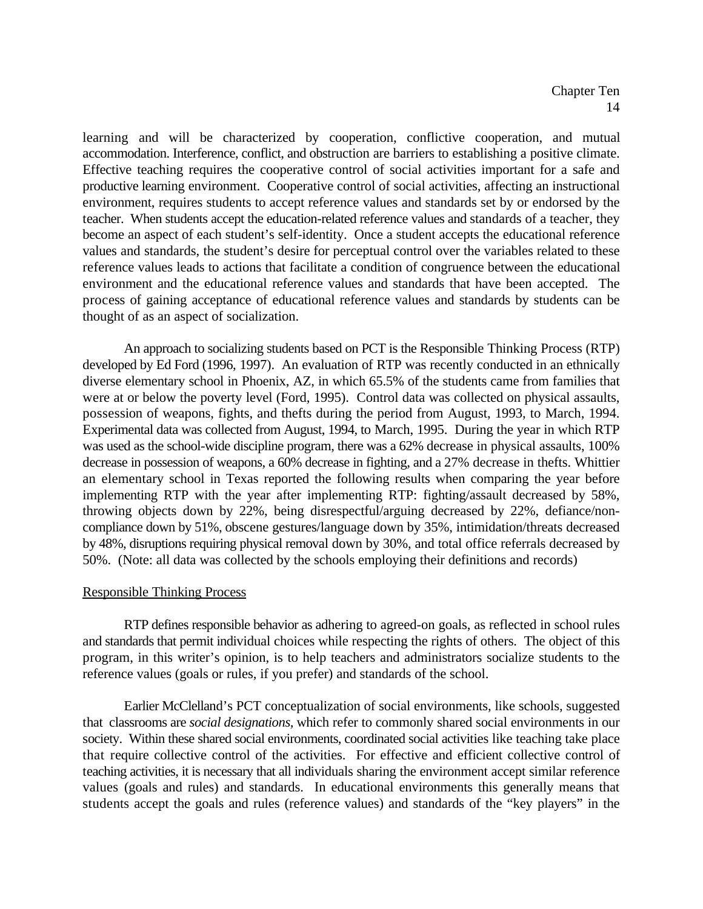learning and will be characterized by cooperation, conflictive cooperation, and mutual accommodation. Interference, conflict, and obstruction are barriers to establishing a positive climate. Effective teaching requires the cooperative control of social activities important for a safe and productive learning environment. Cooperative control of social activities, affecting an instructional environment, requires students to accept reference values and standards set by or endorsed by the teacher. When students accept the education-related reference values and standards of a teacher, they become an aspect of each student's self-identity. Once a student accepts the educational reference values and standards, the student's desire for perceptual control over the variables related to these reference values leads to actions that facilitate a condition of congruence between the educational environment and the educational reference values and standards that have been accepted. The process of gaining acceptance of educational reference values and standards by students can be thought of as an aspect of socialization.

An approach to socializing students based on PCT is the Responsible Thinking Process (RTP) developed by Ed Ford (1996, 1997). An evaluation of RTP was recently conducted in an ethnically diverse elementary school in Phoenix, AZ, in which 65.5% of the students came from families that were at or below the poverty level (Ford, 1995). Control data was collected on physical assaults, possession of weapons, fights, and thefts during the period from August, 1993, to March, 1994. Experimental data was collected from August, 1994, to March, 1995. During the year in which RTP was used as the school-wide discipline program, there was a 62% decrease in physical assaults, 100% decrease in possession of weapons, a 60% decrease in fighting, and a 27% decrease in thefts. Whittier an elementary school in Texas reported the following results when comparing the year before implementing RTP with the year after implementing RTP: fighting/assault decreased by 58%, throwing objects down by 22%, being disrespectful/arguing decreased by 22%, defiance/noncompliance down by 51%, obscene gestures/language down by 35%, intimidation/threats decreased by 48%, disruptions requiring physical removal down by 30%, and total office referrals decreased by 50%. (Note: all data was collected by the schools employing their definitions and records)

#### Responsible Thinking Process

RTP defines responsible behavior as adhering to agreed-on goals, as reflected in school rules and standards that permit individual choices while respecting the rights of others. The object of this program, in this writer's opinion, is to help teachers and administrators socialize students to the reference values (goals or rules, if you prefer) and standards of the school.

Earlier McClelland's PCT conceptualization of social environments, like schools, suggested that classrooms are *social designations,* which refer to commonly shared social environments in our society. Within these shared social environments, coordinated social activities like teaching take place that require collective control of the activities. For effective and efficient collective control of teaching activities, it is necessary that all individuals sharing the environment accept similar reference values (goals and rules) and standards. In educational environments this generally means that students accept the goals and rules (reference values) and standards of the "key players" in the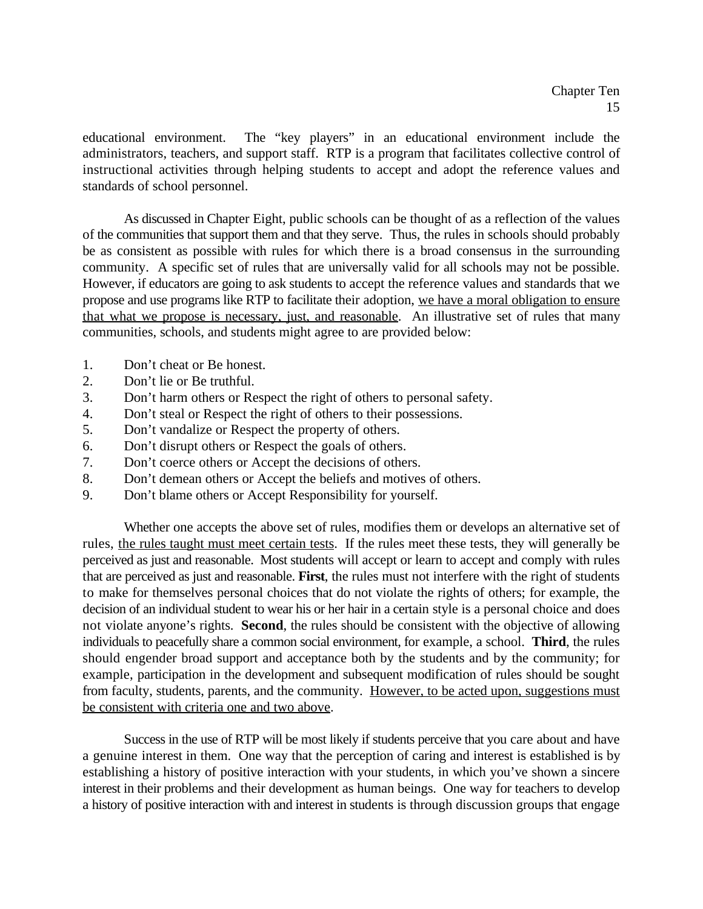educational environment. The "key players" in an educational environment include the administrators, teachers, and support staff. RTP is a program that facilitates collective control of instructional activities through helping students to accept and adopt the reference values and standards of school personnel.

As discussed in Chapter Eight, public schools can be thought of as a reflection of the values of the communities that support them and that they serve. Thus, the rules in schools should probably be as consistent as possible with rules for which there is a broad consensus in the surrounding community. A specific set of rules that are universally valid for all schools may not be possible. However, if educators are going to ask students to accept the reference values and standards that we propose and use programs like RTP to facilitate their adoption, we have a moral obligation to ensure that what we propose is necessary, just, and reasonable. An illustrative set of rules that many communities, schools, and students might agree to are provided below:

- 1. Don't cheat or Be honest.
- 2. Don't lie or Be truthful.
- 3. Don't harm others or Respect the right of others to personal safety.
- 4. Don't steal or Respect the right of others to their possessions.
- 5. Don't vandalize or Respect the property of others.
- 6. Don't disrupt others or Respect the goals of others.
- 7. Don't coerce others or Accept the decisions of others.
- 8. Don't demean others or Accept the beliefs and motives of others.
- 9. Don't blame others or Accept Responsibility for yourself.

Whether one accepts the above set of rules, modifies them or develops an alternative set of rules, the rules taught must meet certain tests. If the rules meet these tests, they will generally be perceived as just and reasonable. Most students will accept or learn to accept and comply with rules that are perceived as just and reasonable. **First**, the rules must not interfere with the right of students to make for themselves personal choices that do not violate the rights of others; for example, the decision of an individual student to wear his or her hair in a certain style is a personal choice and does not violate anyone's rights. **Second**, the rules should be consistent with the objective of allowing individuals to peacefully share a common social environment, for example, a school. **Third**, the rules should engender broad support and acceptance both by the students and by the community; for example, participation in the development and subsequent modification of rules should be sought from faculty, students, parents, and the community. However, to be acted upon, suggestions must be consistent with criteria one and two above.

Success in the use of RTP will be most likely if students perceive that you care about and have a genuine interest in them. One way that the perception of caring and interest is established is by establishing a history of positive interaction with your students, in which you've shown a sincere interest in their problems and their development as human beings. One way for teachers to develop a history of positive interaction with and interest in students is through discussion groups that engage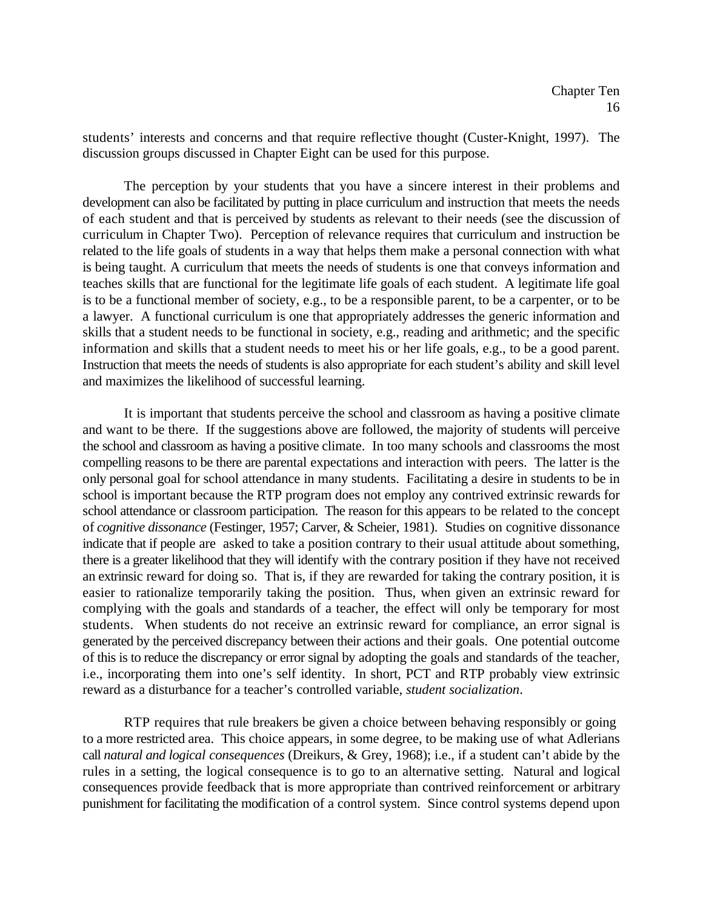students' interests and concerns and that require reflective thought (Custer-Knight, 1997). The discussion groups discussed in Chapter Eight can be used for this purpose.

The perception by your students that you have a sincere interest in their problems and development can also be facilitated by putting in place curriculum and instruction that meets the needs of each student and that is perceived by students as relevant to their needs (see the discussion of curriculum in Chapter Two). Perception of relevance requires that curriculum and instruction be related to the life goals of students in a way that helps them make a personal connection with what is being taught. A curriculum that meets the needs of students is one that conveys information and teaches skills that are functional for the legitimate life goals of each student. A legitimate life goal is to be a functional member of society, e.g., to be a responsible parent, to be a carpenter, or to be a lawyer. A functional curriculum is one that appropriately addresses the generic information and skills that a student needs to be functional in society, e.g., reading and arithmetic; and the specific information and skills that a student needs to meet his or her life goals, e.g., to be a good parent. Instruction that meets the needs of students is also appropriate for each student's ability and skill level and maximizes the likelihood of successful learning.

It is important that students perceive the school and classroom as having a positive climate and want to be there. If the suggestions above are followed, the majority of students will perceive the school and classroom as having a positive climate. In too many schools and classrooms the most compelling reasons to be there are parental expectations and interaction with peers. The latter is the only personal goal for school attendance in many students. Facilitating a desire in students to be in school is important because the RTP program does not employ any contrived extrinsic rewards for school attendance or classroom participation. The reason for this appears to be related to the concept of *cognitive dissonance* (Festinger, 1957; Carver, & Scheier, 1981). Studies on cognitive dissonance indicate that if people are asked to take a position contrary to their usual attitude about something, there is a greater likelihood that they will identify with the contrary position if they have not received an extrinsic reward for doing so. That is, if they are rewarded for taking the contrary position, it is easier to rationalize temporarily taking the position. Thus, when given an extrinsic reward for complying with the goals and standards of a teacher, the effect will only be temporary for most students. When students do not receive an extrinsic reward for compliance, an error signal is generated by the perceived discrepancy between their actions and their goals. One potential outcome of this is to reduce the discrepancy or error signal by adopting the goals and standards of the teacher, i.e., incorporating them into one's self identity. In short, PCT and RTP probably view extrinsic reward as a disturbance for a teacher's controlled variable, *student socialization*.

RTP requires that rule breakers be given a choice between behaving responsibly or going to a more restricted area. This choice appears, in some degree, to be making use of what Adlerians call *natural and logical consequences* (Dreikurs, & Grey, 1968); i.e., if a student can't abide by the rules in a setting, the logical consequence is to go to an alternative setting. Natural and logical consequences provide feedback that is more appropriate than contrived reinforcement or arbitrary punishment for facilitating the modification of a control system. Since control systems depend upon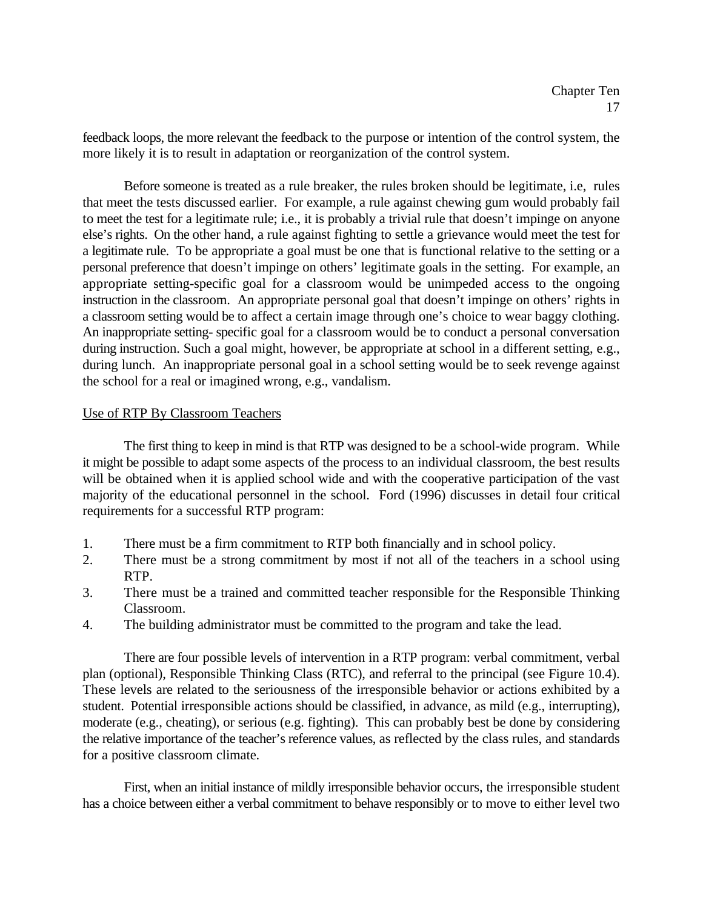feedback loops, the more relevant the feedback to the purpose or intention of the control system, the more likely it is to result in adaptation or reorganization of the control system.

Before someone is treated as a rule breaker, the rules broken should be legitimate, i.e, rules that meet the tests discussed earlier. For example, a rule against chewing gum would probably fail to meet the test for a legitimate rule; i.e., it is probably a trivial rule that doesn't impinge on anyone else's rights. On the other hand, a rule against fighting to settle a grievance would meet the test for a legitimate rule. To be appropriate a goal must be one that is functional relative to the setting or a personal preference that doesn't impinge on others' legitimate goals in the setting. For example, an appropriate setting-specific goal for a classroom would be unimpeded access to the ongoing instruction in the classroom. An appropriate personal goal that doesn't impinge on others' rights in a classroom setting would be to affect a certain image through one's choice to wear baggy clothing. An inappropriate setting- specific goal for a classroom would be to conduct a personal conversation during instruction. Such a goal might, however, be appropriate at school in a different setting, e.g., during lunch. An inappropriate personal goal in a school setting would be to seek revenge against the school for a real or imagined wrong, e.g., vandalism.

## Use of RTP By Classroom Teachers

The first thing to keep in mind is that RTP was designed to be a school-wide program. While it might be possible to adapt some aspects of the process to an individual classroom, the best results will be obtained when it is applied school wide and with the cooperative participation of the vast majority of the educational personnel in the school. Ford (1996) discusses in detail four critical requirements for a successful RTP program:

- 1. There must be a firm commitment to RTP both financially and in school policy.
- 2. There must be a strong commitment by most if not all of the teachers in a school using RTP.
- 3. There must be a trained and committed teacher responsible for the Responsible Thinking Classroom.
- 4. The building administrator must be committed to the program and take the lead.

There are four possible levels of intervention in a RTP program: verbal commitment, verbal plan (optional), Responsible Thinking Class (RTC), and referral to the principal (see Figure 10.4). These levels are related to the seriousness of the irresponsible behavior or actions exhibited by a student. Potential irresponsible actions should be classified, in advance, as mild (e.g., interrupting), moderate (e.g., cheating), or serious (e.g. fighting). This can probably best be done by considering the relative importance of the teacher's reference values, as reflected by the class rules, and standards for a positive classroom climate.

First, when an initial instance of mildly irresponsible behavior occurs, the irresponsible student has a choice between either a verbal commitment to behave responsibly or to move to either level two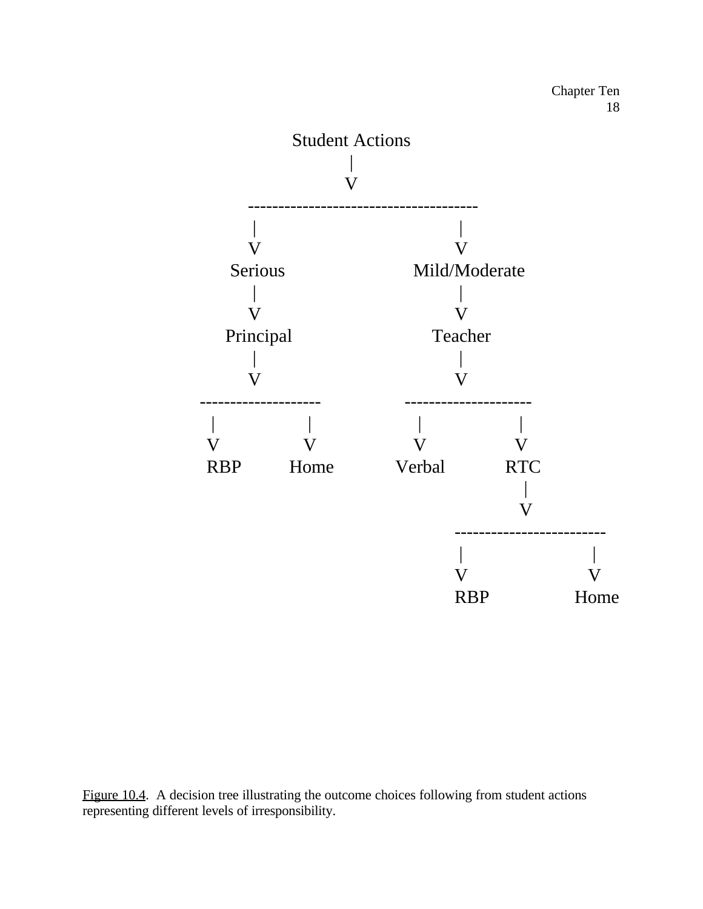![](_page_17_Figure_1.jpeg)

Figure 10.4. A decision tree illustrating the outcome choices following from student actions representing different levels of irresponsibility.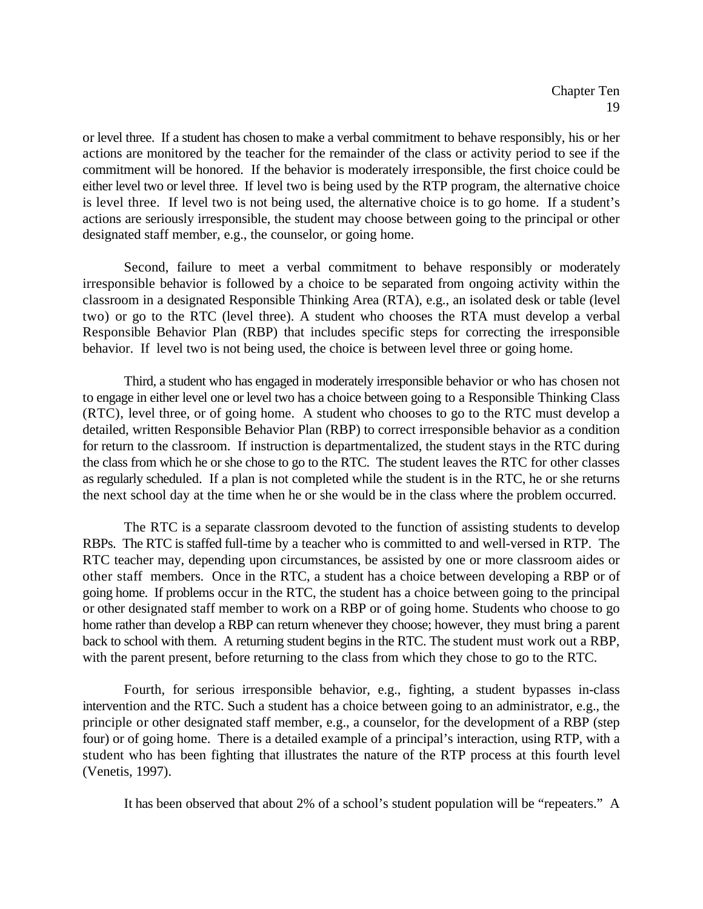or level three. If a student has chosen to make a verbal commitment to behave responsibly, his or her actions are monitored by the teacher for the remainder of the class or activity period to see if the commitment will be honored. If the behavior is moderately irresponsible, the first choice could be either level two or level three. If level two is being used by the RTP program, the alternative choice is level three. If level two is not being used, the alternative choice is to go home. If a student's actions are seriously irresponsible, the student may choose between going to the principal or other designated staff member, e.g., the counselor, or going home.

Second, failure to meet a verbal commitment to behave responsibly or moderately irresponsible behavior is followed by a choice to be separated from ongoing activity within the classroom in a designated Responsible Thinking Area (RTA), e.g., an isolated desk or table (level two) or go to the RTC (level three). A student who chooses the RTA must develop a verbal Responsible Behavior Plan (RBP) that includes specific steps for correcting the irresponsible behavior. If level two is not being used, the choice is between level three or going home.

Third, a student who has engaged in moderately irresponsible behavior or who has chosen not to engage in either level one or level two has a choice between going to a Responsible Thinking Class (RTC), level three, or of going home. A student who chooses to go to the RTC must develop a detailed, written Responsible Behavior Plan (RBP) to correct irresponsible behavior as a condition for return to the classroom. If instruction is departmentalized, the student stays in the RTC during the class from which he or she chose to go to the RTC. The student leaves the RTC for other classes as regularly scheduled. If a plan is not completed while the student is in the RTC, he or she returns the next school day at the time when he or she would be in the class where the problem occurred.

The RTC is a separate classroom devoted to the function of assisting students to develop RBPs. The RTC is staffed full-time by a teacher who is committed to and well-versed in RTP. The RTC teacher may, depending upon circumstances, be assisted by one or more classroom aides or other staff members. Once in the RTC, a student has a choice between developing a RBP or of going home. If problems occur in the RTC, the student has a choice between going to the principal or other designated staff member to work on a RBP or of going home. Students who choose to go home rather than develop a RBP can return whenever they choose; however, they must bring a parent back to school with them. A returning student begins in the RTC. The student must work out a RBP, with the parent present, before returning to the class from which they chose to go to the RTC.

Fourth, for serious irresponsible behavior, e.g., fighting, a student bypasses in-class intervention and the RTC. Such a student has a choice between going to an administrator, e.g., the principle or other designated staff member, e.g., a counselor, for the development of a RBP (step four) or of going home. There is a detailed example of a principal's interaction, using RTP, with a student who has been fighting that illustrates the nature of the RTP process at this fourth level (Venetis, 1997).

It has been observed that about 2% of a school's student population will be "repeaters." A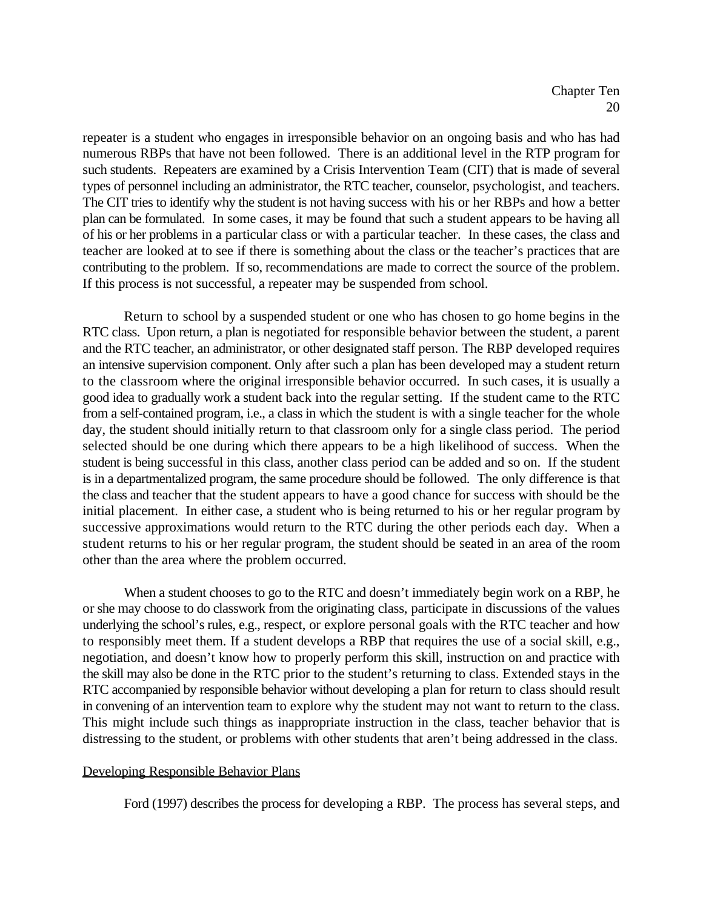repeater is a student who engages in irresponsible behavior on an ongoing basis and who has had numerous RBPs that have not been followed. There is an additional level in the RTP program for such students. Repeaters are examined by a Crisis Intervention Team (CIT) that is made of several types of personnel including an administrator, the RTC teacher, counselor, psychologist, and teachers. The CIT tries to identify why the student is not having success with his or her RBPs and how a better plan can be formulated. In some cases, it may be found that such a student appears to be having all of his or her problems in a particular class or with a particular teacher. In these cases, the class and teacher are looked at to see if there is something about the class or the teacher's practices that are contributing to the problem. If so, recommendations are made to correct the source of the problem. If this process is not successful, a repeater may be suspended from school.

Return to school by a suspended student or one who has chosen to go home begins in the RTC class. Upon return, a plan is negotiated for responsible behavior between the student, a parent and the RTC teacher, an administrator, or other designated staff person. The RBP developed requires an intensive supervision component. Only after such a plan has been developed may a student return to the classroom where the original irresponsible behavior occurred. In such cases, it is usually a good idea to gradually work a student back into the regular setting. If the student came to the RTC from a self-contained program, i.e., a class in which the student is with a single teacher for the whole day, the student should initially return to that classroom only for a single class period. The period selected should be one during which there appears to be a high likelihood of success. When the student is being successful in this class, another class period can be added and so on. If the student is in a departmentalized program, the same procedure should be followed. The only difference is that the class and teacher that the student appears to have a good chance for success with should be the initial placement. In either case, a student who is being returned to his or her regular program by successive approximations would return to the RTC during the other periods each day. When a student returns to his or her regular program, the student should be seated in an area of the room other than the area where the problem occurred.

When a student chooses to go to the RTC and doesn't immediately begin work on a RBP, he or she may choose to do classwork from the originating class, participate in discussions of the values underlying the school's rules, e.g., respect, or explore personal goals with the RTC teacher and how to responsibly meet them. If a student develops a RBP that requires the use of a social skill, e.g., negotiation, and doesn't know how to properly perform this skill, instruction on and practice with the skill may also be done in the RTC prior to the student's returning to class. Extended stays in the RTC accompanied by responsible behavior without developing a plan for return to class should result in convening of an intervention team to explore why the student may not want to return to the class. This might include such things as inappropriate instruction in the class, teacher behavior that is distressing to the student, or problems with other students that aren't being addressed in the class.

#### Developing Responsible Behavior Plans

Ford (1997) describes the process for developing a RBP. The process has several steps, and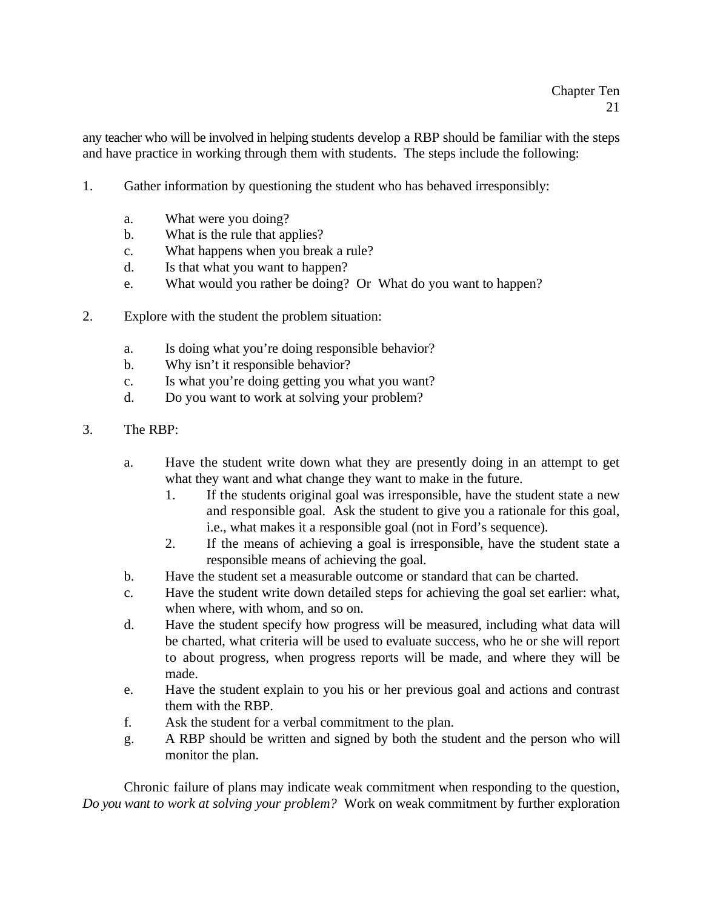any teacher who will be involved in helping students develop a RBP should be familiar with the steps and have practice in working through them with students. The steps include the following:

- 1. Gather information by questioning the student who has behaved irresponsibly:
	- a. What were you doing?
	- b. What is the rule that applies?
	- c. What happens when you break a rule?
	- d. Is that what you want to happen?
	- e. What would you rather be doing? Or What do you want to happen?
- 2. Explore with the student the problem situation:
	- a. Is doing what you're doing responsible behavior?
	- b. Why isn't it responsible behavior?
	- c. Is what you're doing getting you what you want?
	- d. Do you want to work at solving your problem?
- 3. The RBP:
	- a. Have the student write down what they are presently doing in an attempt to get what they want and what change they want to make in the future.
		- 1. If the students original goal was irresponsible, have the student state a new and responsible goal. Ask the student to give you a rationale for this goal, i.e., what makes it a responsible goal (not in Ford's sequence).
		- 2. If the means of achieving a goal is irresponsible, have the student state a responsible means of achieving the goal.
	- b. Have the student set a measurable outcome or standard that can be charted.
	- c. Have the student write down detailed steps for achieving the goal set earlier: what, when where, with whom, and so on.
	- d. Have the student specify how progress will be measured, including what data will be charted, what criteria will be used to evaluate success, who he or she will report to about progress, when progress reports will be made, and where they will be made.
	- e. Have the student explain to you his or her previous goal and actions and contrast them with the RBP.
	- f. Ask the student for a verbal commitment to the plan.
	- g. A RBP should be written and signed by both the student and the person who will monitor the plan.

Chronic failure of plans may indicate weak commitment when responding to the question, *Do you want to work at solving your problem?* Work on weak commitment by further exploration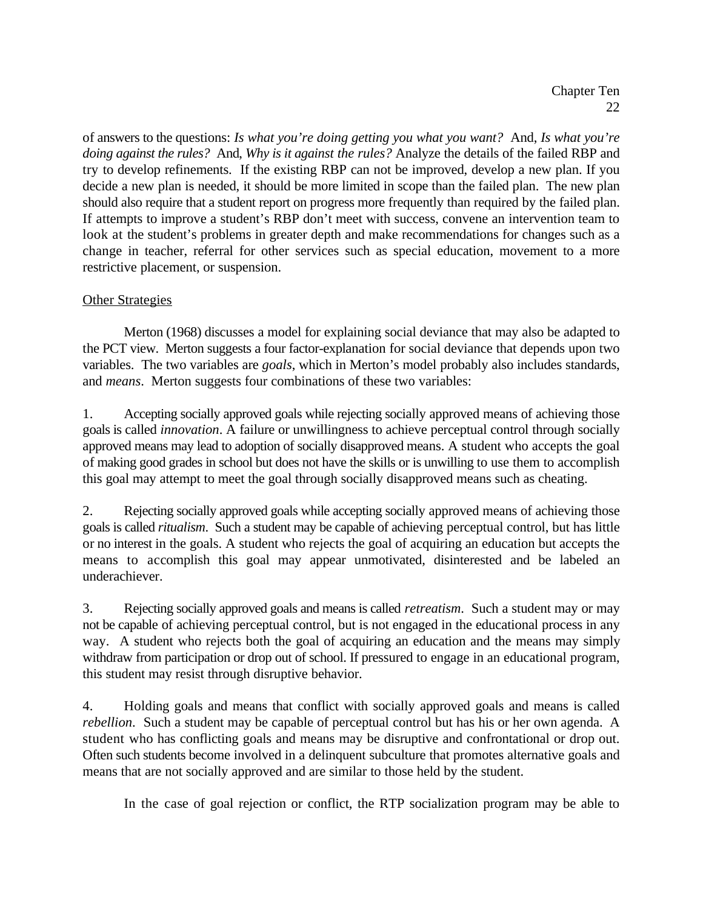of answers to the questions: *Is what you're doing getting you what you want?* And, *Is what you're doing against the rules?* And, *Why is it against the rules?* Analyze the details of the failed RBP and try to develop refinements. If the existing RBP can not be improved, develop a new plan. If you decide a new plan is needed, it should be more limited in scope than the failed plan. The new plan should also require that a student report on progress more frequently than required by the failed plan. If attempts to improve a student's RBP don't meet with success, convene an intervention team to look at the student's problems in greater depth and make recommendations for changes such as a change in teacher, referral for other services such as special education, movement to a more restrictive placement, or suspension.

# **Other Strategies**

Merton (1968) discusses a model for explaining social deviance that may also be adapted to the PCT view. Merton suggests a four factor-explanation for social deviance that depends upon two variables. The two variables are *goals*, which in Merton's model probably also includes standards, and *means*. Merton suggests four combinations of these two variables:

1. Accepting socially approved goals while rejecting socially approved means of achieving those goals is called *innovation*. A failure or unwillingness to achieve perceptual control through socially approved means may lead to adoption of socially disapproved means. A student who accepts the goal of making good grades in school but does not have the skills or is unwilling to use them to accomplish this goal may attempt to meet the goal through socially disapproved means such as cheating.

2. Rejecting socially approved goals while accepting socially approved means of achieving those goals is called *ritualism*. Such a student may be capable of achieving perceptual control, but has little or no interest in the goals. A student who rejects the goal of acquiring an education but accepts the means to accomplish this goal may appear unmotivated, disinterested and be labeled an underachiever.

3. Rejecting socially approved goals and means is called *retreatism*. Such a student may or may not be capable of achieving perceptual control, but is not engaged in the educational process in any way. A student who rejects both the goal of acquiring an education and the means may simply withdraw from participation or drop out of school. If pressured to engage in an educational program, this student may resist through disruptive behavior.

4. Holding goals and means that conflict with socially approved goals and means is called *rebellion*. Such a student may be capable of perceptual control but has his or her own agenda. A student who has conflicting goals and means may be disruptive and confrontational or drop out. Often such students become involved in a delinquent subculture that promotes alternative goals and means that are not socially approved and are similar to those held by the student.

In the case of goal rejection or conflict, the RTP socialization program may be able to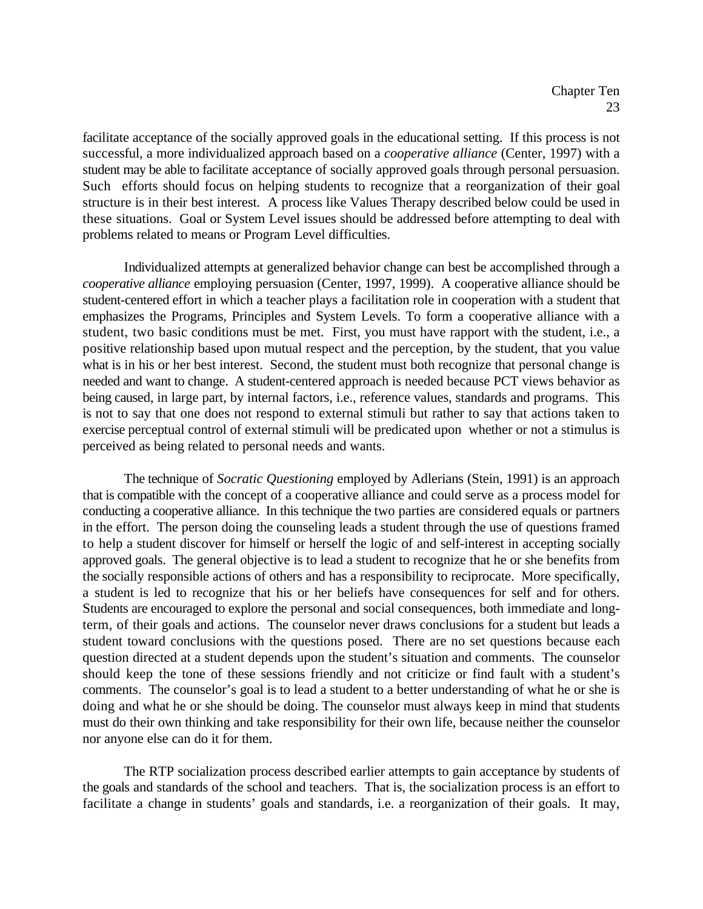facilitate acceptance of the socially approved goals in the educational setting. If this process is not successful, a more individualized approach based on a *cooperative alliance* (Center, 1997) with a student may be able to facilitate acceptance of socially approved goals through personal persuasion. Such efforts should focus on helping students to recognize that a reorganization of their goal structure is in their best interest. A process like Values Therapy described below could be used in these situations. Goal or System Level issues should be addressed before attempting to deal with problems related to means or Program Level difficulties.

Individualized attempts at generalized behavior change can best be accomplished through a *cooperative alliance* employing persuasion (Center, 1997, 1999). A cooperative alliance should be student-centered effort in which a teacher plays a facilitation role in cooperation with a student that emphasizes the Programs, Principles and System Levels. To form a cooperative alliance with a student, two basic conditions must be met. First, you must have rapport with the student, i.e., a positive relationship based upon mutual respect and the perception, by the student, that you value what is in his or her best interest. Second, the student must both recognize that personal change is needed and want to change. A student-centered approach is needed because PCT views behavior as being caused, in large part, by internal factors, i.e., reference values, standards and programs. This is not to say that one does not respond to external stimuli but rather to say that actions taken to exercise perceptual control of external stimuli will be predicated upon whether or not a stimulus is perceived as being related to personal needs and wants.

The technique of *Socratic Questioning* employed by Adlerians (Stein, 1991) is an approach that is compatible with the concept of a cooperative alliance and could serve as a process model for conducting a cooperative alliance. In this technique the two parties are considered equals or partners in the effort. The person doing the counseling leads a student through the use of questions framed to help a student discover for himself or herself the logic of and self-interest in accepting socially approved goals. The general objective is to lead a student to recognize that he or she benefits from the socially responsible actions of others and has a responsibility to reciprocate. More specifically, a student is led to recognize that his or her beliefs have consequences for self and for others. Students are encouraged to explore the personal and social consequences, both immediate and longterm, of their goals and actions. The counselor never draws conclusions for a student but leads a student toward conclusions with the questions posed. There are no set questions because each question directed at a student depends upon the student's situation and comments. The counselor should keep the tone of these sessions friendly and not criticize or find fault with a student's comments. The counselor's goal is to lead a student to a better understanding of what he or she is doing and what he or she should be doing. The counselor must always keep in mind that students must do their own thinking and take responsibility for their own life, because neither the counselor nor anyone else can do it for them.

The RTP socialization process described earlier attempts to gain acceptance by students of the goals and standards of the school and teachers. That is, the socialization process is an effort to facilitate a change in students' goals and standards, i.e. a reorganization of their goals. It may,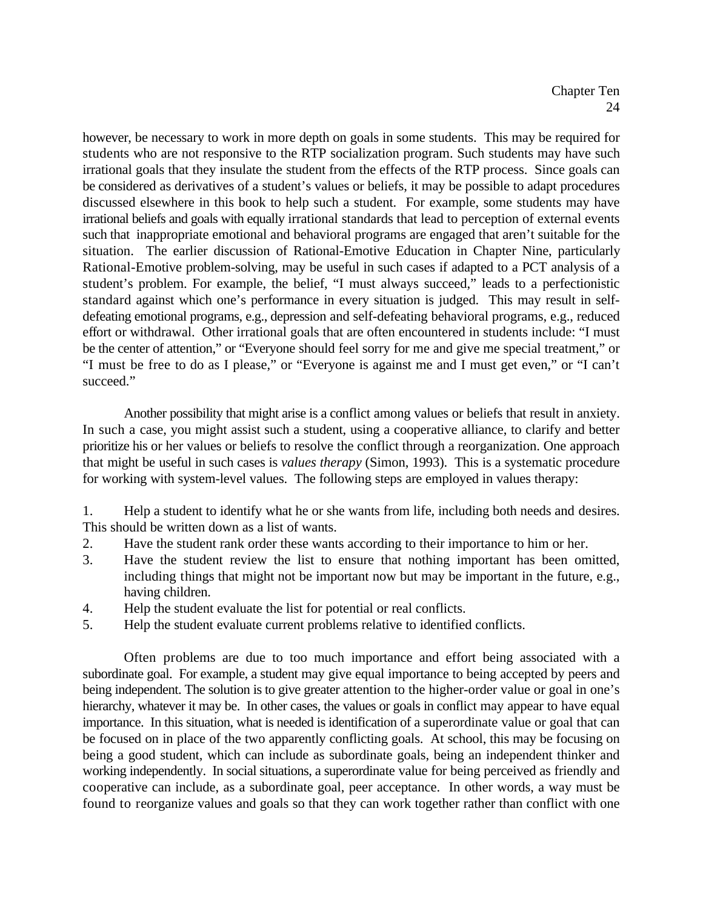however, be necessary to work in more depth on goals in some students. This may be required for students who are not responsive to the RTP socialization program. Such students may have such irrational goals that they insulate the student from the effects of the RTP process. Since goals can be considered as derivatives of a student's values or beliefs, it may be possible to adapt procedures discussed elsewhere in this book to help such a student. For example, some students may have irrational beliefs and goals with equally irrational standards that lead to perception of external events such that inappropriate emotional and behavioral programs are engaged that aren't suitable for the situation. The earlier discussion of Rational-Emotive Education in Chapter Nine, particularly Rational-Emotive problem-solving, may be useful in such cases if adapted to a PCT analysis of a student's problem. For example, the belief, "I must always succeed," leads to a perfectionistic standard against which one's performance in every situation is judged. This may result in selfdefeating emotional programs, e.g., depression and self-defeating behavioral programs, e.g., reduced effort or withdrawal. Other irrational goals that are often encountered in students include: "I must be the center of attention," or "Everyone should feel sorry for me and give me special treatment," or "I must be free to do as I please," or "Everyone is against me and I must get even," or "I can't succeed."

Another possibility that might arise is a conflict among values or beliefs that result in anxiety. In such a case, you might assist such a student, using a cooperative alliance, to clarify and better prioritize his or her values or beliefs to resolve the conflict through a reorganization. One approach that might be useful in such cases is *values therapy* (Simon, 1993). This is a systematic procedure for working with system-level values. The following steps are employed in values therapy:

1. Help a student to identify what he or she wants from life, including both needs and desires. This should be written down as a list of wants.

- 2. Have the student rank order these wants according to their importance to him or her.
- 3. Have the student review the list to ensure that nothing important has been omitted, including things that might not be important now but may be important in the future, e.g., having children.
- 4. Help the student evaluate the list for potential or real conflicts.
- 5. Help the student evaluate current problems relative to identified conflicts.

Often problems are due to too much importance and effort being associated with a subordinate goal. For example, a student may give equal importance to being accepted by peers and being independent. The solution is to give greater attention to the higher-order value or goal in one's hierarchy, whatever it may be. In other cases, the values or goals in conflict may appear to have equal importance. In this situation, what is needed is identification of a superordinate value or goal that can be focused on in place of the two apparently conflicting goals. At school, this may be focusing on being a good student, which can include as subordinate goals, being an independent thinker and working independently. In social situations, a superordinate value for being perceived as friendly and cooperative can include, as a subordinate goal, peer acceptance. In other words, a way must be found to reorganize values and goals so that they can work together rather than conflict with one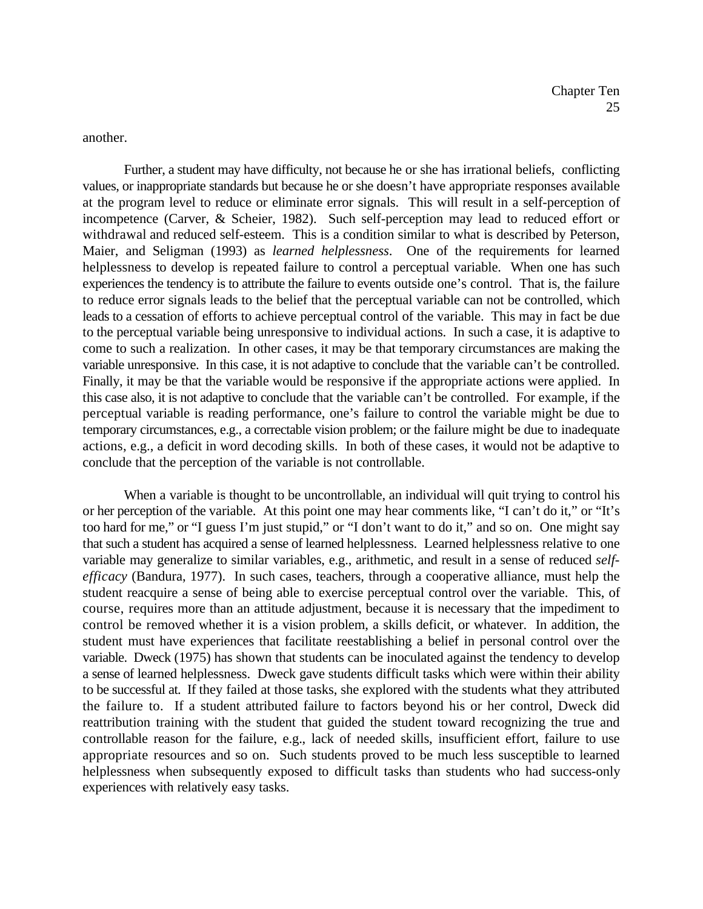another.

Further, a student may have difficulty, not because he or she has irrational beliefs, conflicting values, or inappropriate standards but because he or she doesn't have appropriate responses available at the program level to reduce or eliminate error signals. This will result in a self-perception of incompetence (Carver, & Scheier, 1982). Such self-perception may lead to reduced effort or withdrawal and reduced self-esteem. This is a condition similar to what is described by Peterson, Maier, and Seligman (1993) as *learned helplessness*. One of the requirements for learned helplessness to develop is repeated failure to control a perceptual variable. When one has such experiences the tendency is to attribute the failure to events outside one's control. That is, the failure to reduce error signals leads to the belief that the perceptual variable can not be controlled, which leads to a cessation of efforts to achieve perceptual control of the variable. This may in fact be due to the perceptual variable being unresponsive to individual actions. In such a case, it is adaptive to come to such a realization. In other cases, it may be that temporary circumstances are making the variable unresponsive. In this case, it is not adaptive to conclude that the variable can't be controlled. Finally, it may be that the variable would be responsive if the appropriate actions were applied. In this case also, it is not adaptive to conclude that the variable can't be controlled. For example, if the perceptual variable is reading performance, one's failure to control the variable might be due to temporary circumstances, e.g., a correctable vision problem; or the failure might be due to inadequate actions, e.g., a deficit in word decoding skills. In both of these cases, it would not be adaptive to conclude that the perception of the variable is not controllable.

When a variable is thought to be uncontrollable, an individual will quit trying to control his or her perception of the variable. At this point one may hear comments like, "I can't do it," or "It's too hard for me," or "I guess I'm just stupid," or "I don't want to do it," and so on. One might say that such a student has acquired a sense of learned helplessness. Learned helplessness relative to one variable may generalize to similar variables, e.g., arithmetic, and result in a sense of reduced *selfefficacy* (Bandura, 1977). In such cases, teachers, through a cooperative alliance, must help the student reacquire a sense of being able to exercise perceptual control over the variable. This, of course, requires more than an attitude adjustment, because it is necessary that the impediment to control be removed whether it is a vision problem, a skills deficit, or whatever. In addition, the student must have experiences that facilitate reestablishing a belief in personal control over the variable. Dweck (1975) has shown that students can be inoculated against the tendency to develop a sense of learned helplessness. Dweck gave students difficult tasks which were within their ability to be successful at. If they failed at those tasks, she explored with the students what they attributed the failure to. If a student attributed failure to factors beyond his or her control, Dweck did reattribution training with the student that guided the student toward recognizing the true and controllable reason for the failure, e.g., lack of needed skills, insufficient effort, failure to use appropriate resources and so on. Such students proved to be much less susceptible to learned helplessness when subsequently exposed to difficult tasks than students who had success-only experiences with relatively easy tasks.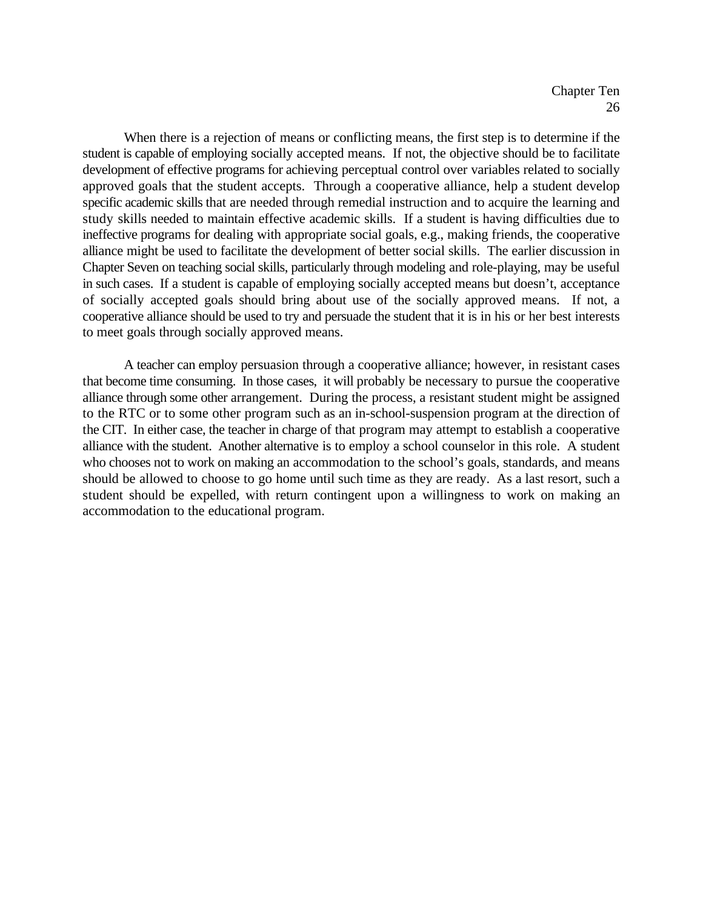When there is a rejection of means or conflicting means, the first step is to determine if the student is capable of employing socially accepted means. If not, the objective should be to facilitate development of effective programs for achieving perceptual control over variables related to socially approved goals that the student accepts. Through a cooperative alliance, help a student develop specific academic skills that are needed through remedial instruction and to acquire the learning and study skills needed to maintain effective academic skills. If a student is having difficulties due to ineffective programs for dealing with appropriate social goals, e.g., making friends, the cooperative alliance might be used to facilitate the development of better social skills. The earlier discussion in Chapter Seven on teaching social skills, particularly through modeling and role-playing, may be useful in such cases. If a student is capable of employing socially accepted means but doesn't, acceptance of socially accepted goals should bring about use of the socially approved means. If not, a cooperative alliance should be used to try and persuade the student that it is in his or her best interests to meet goals through socially approved means.

A teacher can employ persuasion through a cooperative alliance; however, in resistant cases that become time consuming. In those cases, it will probably be necessary to pursue the cooperative alliance through some other arrangement. During the process, a resistant student might be assigned to the RTC or to some other program such as an in-school-suspension program at the direction of the CIT. In either case, the teacher in charge of that program may attempt to establish a cooperative alliance with the student. Another alternative is to employ a school counselor in this role. A student who chooses not to work on making an accommodation to the school's goals, standards, and means should be allowed to choose to go home until such time as they are ready. As a last resort, such a student should be expelled, with return contingent upon a willingness to work on making an accommodation to the educational program.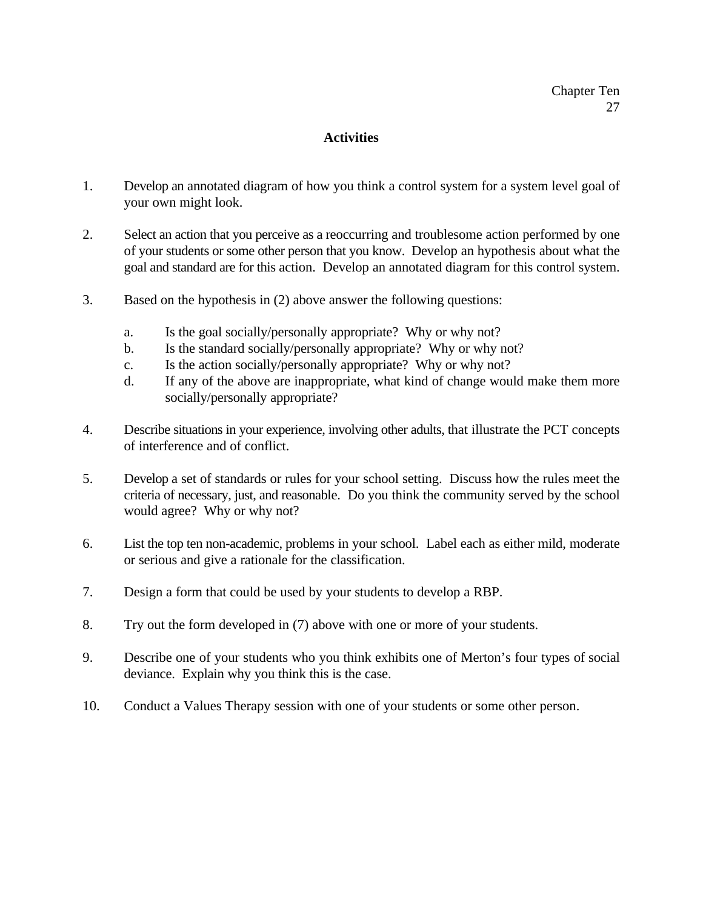## **Activities**

- 1. Develop an annotated diagram of how you think a control system for a system level goal of your own might look.
- 2. Select an action that you perceive as a reoccurring and troublesome action performed by one of your students or some other person that you know. Develop an hypothesis about what the goal and standard are for this action. Develop an annotated diagram for this control system.
- 3. Based on the hypothesis in (2) above answer the following questions:
	- a. Is the goal socially/personally appropriate? Why or why not?
	- b. Is the standard socially/personally appropriate? Why or why not?
	- c. Is the action socially/personally appropriate? Why or why not?
	- d. If any of the above are inappropriate, what kind of change would make them more socially/personally appropriate?
- 4. Describe situations in your experience, involving other adults, that illustrate the PCT concepts of interference and of conflict.
- 5. Develop a set of standards or rules for your school setting. Discuss how the rules meet the criteria of necessary, just, and reasonable. Do you think the community served by the school would agree? Why or why not?
- 6. List the top ten non-academic, problems in your school. Label each as either mild, moderate or serious and give a rationale for the classification.
- 7. Design a form that could be used by your students to develop a RBP.
- 8. Try out the form developed in (7) above with one or more of your students.
- 9. Describe one of your students who you think exhibits one of Merton's four types of social deviance. Explain why you think this is the case.
- 10. Conduct a Values Therapy session with one of your students or some other person.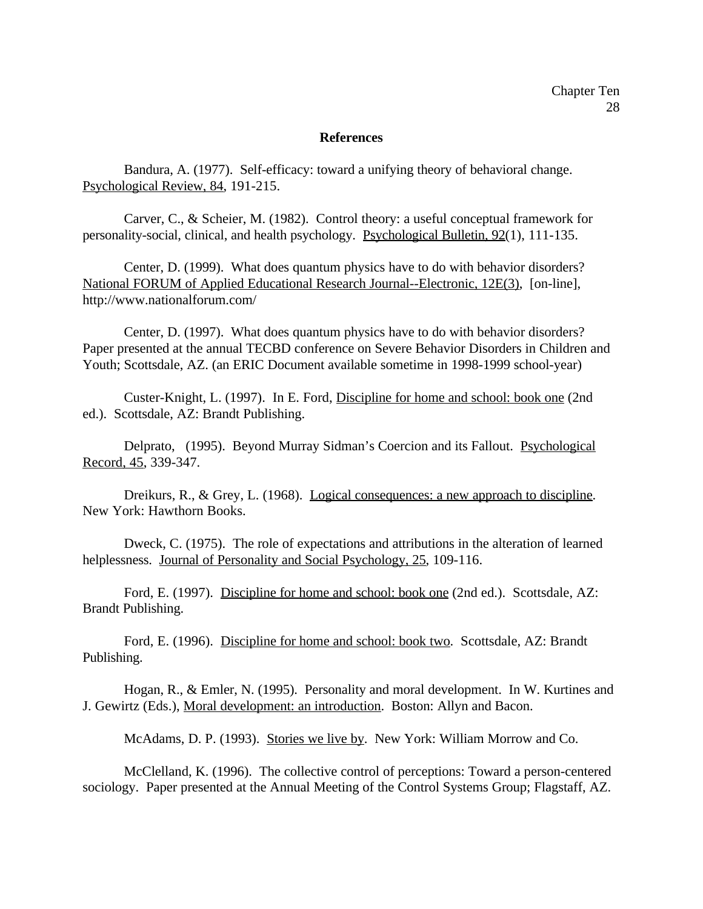#### **References**

Bandura, A. (1977). Self-efficacy: toward a unifying theory of behavioral change. Psychological Review, 84, 191-215.

Carver, C., & Scheier, M. (1982). Control theory: a useful conceptual framework for personality-social, clinical, and health psychology. Psychological Bulletin, 92(1), 111-135.

Center, D. (1999). What does quantum physics have to do with behavior disorders? National FORUM of Applied Educational Research Journal--Electronic, 12E(3), [on-line], http://www.nationalforum.com/

Center, D. (1997). What does quantum physics have to do with behavior disorders? Paper presented at the annual TECBD conference on Severe Behavior Disorders in Children and Youth; Scottsdale, AZ. (an ERIC Document available sometime in 1998-1999 school-year)

Custer-Knight, L. (1997). In E. Ford, Discipline for home and school: book one (2nd ed.). Scottsdale, AZ: Brandt Publishing.

Delprato, (1995). Beyond Murray Sidman's Coercion and its Fallout. Psychological Record, 45, 339-347.

Dreikurs, R., & Grey, L. (1968). Logical consequences: a new approach to discipline. New York: Hawthorn Books.

Dweck, C. (1975). The role of expectations and attributions in the alteration of learned helplessness. Journal of Personality and Social Psychology, 25, 109-116.

Ford, E. (1997). Discipline for home and school: book one (2nd ed.). Scottsdale, AZ: Brandt Publishing.

Ford, E. (1996). Discipline for home and school: book two. Scottsdale, AZ: Brandt Publishing.

Hogan, R., & Emler, N. (1995). Personality and moral development. In W. Kurtines and J. Gewirtz (Eds.), Moral development: an introduction. Boston: Allyn and Bacon.

McAdams, D. P. (1993). Stories we live by. New York: William Morrow and Co.

McClelland, K. (1996). The collective control of perceptions: Toward a person-centered sociology. Paper presented at the Annual Meeting of the Control Systems Group; Flagstaff, AZ.